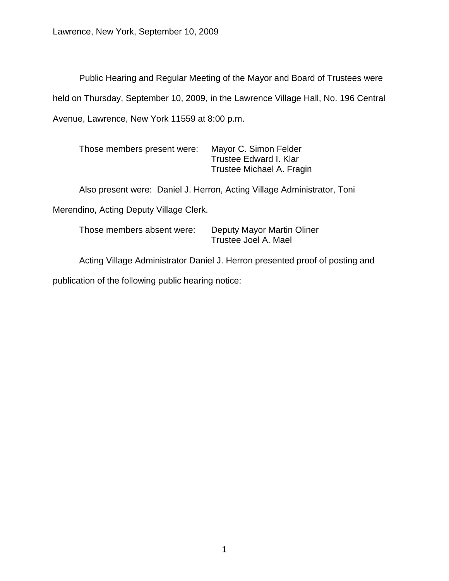Public Hearing and Regular Meeting of the Mayor and Board of Trustees were held on Thursday, September 10, 2009, in the Lawrence Village Hall, No. 196 Central Avenue, Lawrence, New York 11559 at 8:00 p.m.

| Those members present were: | Mayor C. Simon Felder     |
|-----------------------------|---------------------------|
|                             | Trustee Edward I. Klar    |
|                             | Trustee Michael A. Fragin |

Also present were: Daniel J. Herron, Acting Village Administrator, Toni

Merendino, Acting Deputy Village Clerk.

Those members absent were: Deputy Mayor Martin Oliner Trustee Joel A. Mael

Acting Village Administrator Daniel J. Herron presented proof of posting and

publication of the following public hearing notice: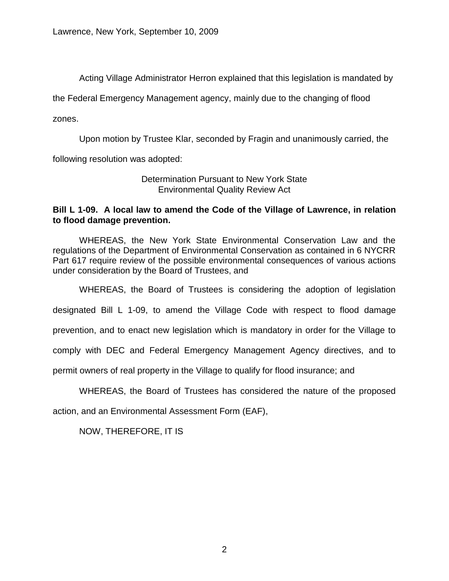Acting Village Administrator Herron explained that this legislation is mandated by

the Federal Emergency Management agency, mainly due to the changing of flood

zones.

Upon motion by Trustee Klar, seconded by Fragin and unanimously carried, the

following resolution was adopted:

#### Determination Pursuant to New York State Environmental Quality Review Act

## **Bill L 1-09. A local law to amend the Code of the Village of Lawrence, in relation to flood damage prevention.**

WHEREAS, the New York State Environmental Conservation Law and the regulations of the Department of Environmental Conservation as contained in 6 NYCRR Part 617 require review of the possible environmental consequences of various actions under consideration by the Board of Trustees, and

WHEREAS, the Board of Trustees is considering the adoption of legislation designated Bill L 1-09, to amend the Village Code with respect to flood damage prevention, and to enact new legislation which is mandatory in order for the Village to comply with DEC and Federal Emergency Management Agency directives, and to permit owners of real property in the Village to qualify for flood insurance; and

WHEREAS, the Board of Trustees has considered the nature of the proposed

action, and an Environmental Assessment Form (EAF),

NOW, THEREFORE, IT IS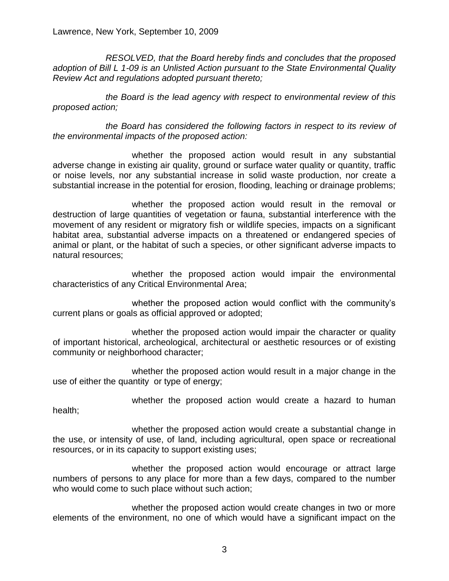*RESOLVED, that the Board hereby finds and concludes that the proposed adoption of Bill L 1-09 is an Unlisted Action pursuant to the State Environmental Quality Review Act and regulations adopted pursuant thereto;*

*the Board is the lead agency with respect to environmental review of this proposed action;*

*the Board has considered the following factors in respect to its review of the environmental impacts of the proposed action:*

whether the proposed action would result in any substantial adverse change in existing air quality, ground or surface water quality or quantity, traffic or noise levels, nor any substantial increase in solid waste production, nor create a substantial increase in the potential for erosion, flooding, leaching or drainage problems;

whether the proposed action would result in the removal or destruction of large quantities of vegetation or fauna, substantial interference with the movement of any resident or migratory fish or wildlife species, impacts on a significant habitat area, substantial adverse impacts on a threatened or endangered species of animal or plant, or the habitat of such a species, or other significant adverse impacts to natural resources;

whether the proposed action would impair the environmental characteristics of any Critical Environmental Area;

whether the proposed action would conflict with the community's current plans or goals as official approved or adopted;

whether the proposed action would impair the character or quality of important historical, archeological, architectural or aesthetic resources or of existing community or neighborhood character;

whether the proposed action would result in a major change in the use of either the quantity or type of energy;

whether the proposed action would create a hazard to human

health;

whether the proposed action would create a substantial change in the use, or intensity of use, of land, including agricultural, open space or recreational resources, or in its capacity to support existing uses;

whether the proposed action would encourage or attract large numbers of persons to any place for more than a few days, compared to the number who would come to such place without such action;

whether the proposed action would create changes in two or more elements of the environment, no one of which would have a significant impact on the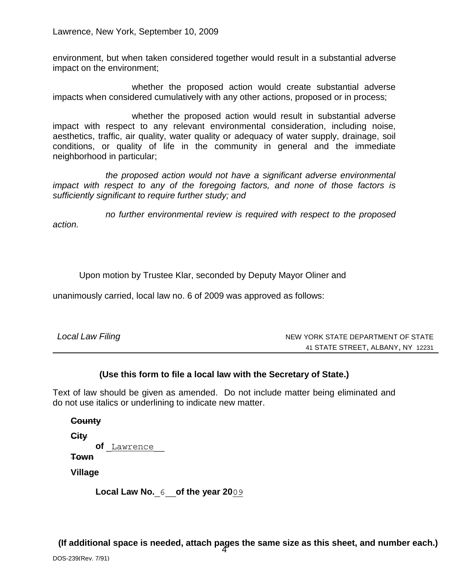environment, but when taken considered together would result in a substantial adverse impact on the environment;

whether the proposed action would create substantial adverse impacts when considered cumulatively with any other actions, proposed or in process;

whether the proposed action would result in substantial adverse impact with respect to any relevant environmental consideration, including noise, aesthetics, traffic, air quality, water quality or adequacy of water supply, drainage, soil conditions, or quality of life in the community in general and the immediate neighborhood in particular;

*the proposed action would not have a significant adverse environmental impact with respect to any of the foregoing factors, and none of those factors is sufficiently significant to require further study; and* 

*no further environmental review is required with respect to the proposed action.*

Upon motion by Trustee Klar, seconded by Deputy Mayor Oliner and

unanimously carried, local law no. 6 of 2009 was approved as follows:

| Local Law Filing | NEW YORK STATE DEPARTMENT OF STATE |  |
|------------------|------------------------------------|--|
|                  | 41 STATE STREET, ALBANY, NY 12231  |  |

## **(Use this form to file a local law with the Secretary of State.)**

Text of law should be given as amended. Do not include matter being eliminated and do not use italics or underlining to indicate new matter.

**County City of Town Village**

**Local Law No. of the year 20**

4 **(If additional space is needed, attach pages the same size as this sheet, and number each.)**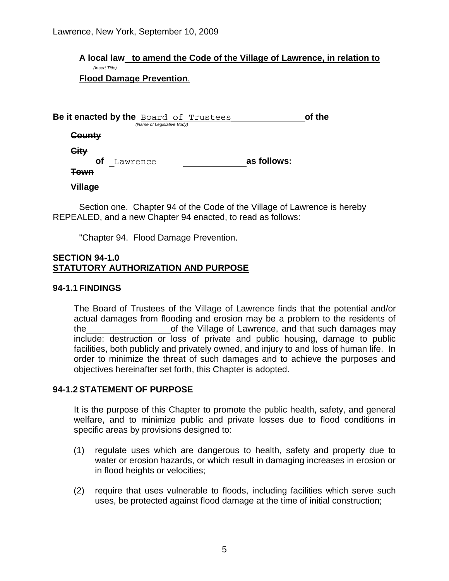#### *(Insert Title)* **A local law to amend the Code of the Village of Lawrence, in relation to Flood Damage Prevention**.

|                 | Be it enacted by the Board of Trustees<br>(Name of Legislative Body) |             | of the |
|-----------------|----------------------------------------------------------------------|-------------|--------|
| <b>County</b>   |                                                                      |             |        |
| City            |                                                                      |             |        |
| <b>of</b>       | Lawrence                                                             | as follows: |        |
| <del>Town</del> |                                                                      |             |        |
|                 |                                                                      |             |        |

**Village**

Section one. Chapter 94 of the Code of the Village of Lawrence is hereby REPEALED, and a new Chapter 94 enacted, to read as follows:

"Chapter 94. Flood Damage Prevention.

#### **SECTION 94-1.0 STATUTORY AUTHORIZATION AND PURPOSE**

## **94-1.1 FINDINGS**

The Board of Trustees of the Village of Lawrence finds that the potential and/or actual damages from flooding and erosion may be a problem to the residents of the of the Village of Lawrence, and that such damages may include: destruction or loss of private and public housing, damage to public facilities, both publicly and privately owned, and injury to and loss of human life. In order to minimize the threat of such damages and to achieve the purposes and objectives hereinafter set forth, this Chapter is adopted.

## **94-1.2STATEMENT OF PURPOSE**

It is the purpose of this Chapter to promote the public health, safety, and general welfare, and to minimize public and private losses due to flood conditions in specific areas by provisions designed to:

- (1) regulate uses which are dangerous to health, safety and property due to water or erosion hazards, or which result in damaging increases in erosion or in flood heights or velocities;
- (2) require that uses vulnerable to floods, including facilities which serve such uses, be protected against flood damage at the time of initial construction;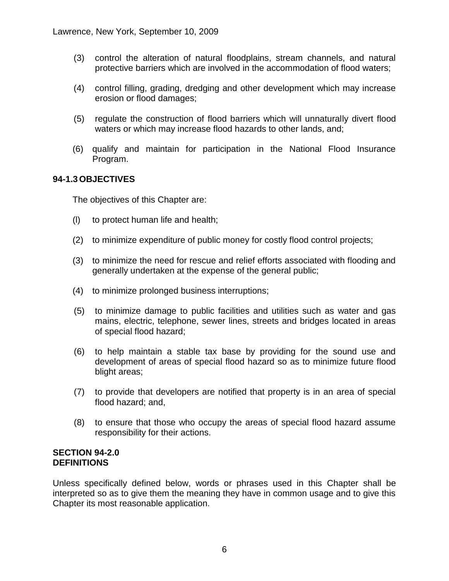- (3) control the alteration of natural floodplains, stream channels, and natural protective barriers which are involved in the accommodation of flood waters;
- (4) control filling, grading, dredging and other development which may increase erosion or flood damages;
- (5) regulate the construction of flood barriers which will unnaturally divert flood waters or which may increase flood hazards to other lands, and;
- (6) qualify and maintain for participation in the National Flood Insurance Program.

# **94-1.3 OBJECTIVES**

The objectives of this Chapter are:

- (l) to protect human life and health;
- (2) to minimize expenditure of public money for costly flood control projects;
- (3) to minimize the need for rescue and relief efforts associated with flooding and generally undertaken at the expense of the general public;
- (4) to minimize prolonged business interruptions;
- (5) to minimize damage to public facilities and utilities such as water and gas mains, electric, telephone, sewer lines, streets and bridges located in areas of special flood hazard;
- (6) to help maintain a stable tax base by providing for the sound use and development of areas of special flood hazard so as to minimize future flood blight areas;
- (7) to provide that developers are notified that property is in an area of special flood hazard; and,
- (8) to ensure that those who occupy the areas of special flood hazard assume responsibility for their actions.

#### **SECTION 94-2.0 DEFINITIONS**

Unless specifically defined below, words or phrases used in this Chapter shall be interpreted so as to give them the meaning they have in common usage and to give this Chapter its most reasonable application.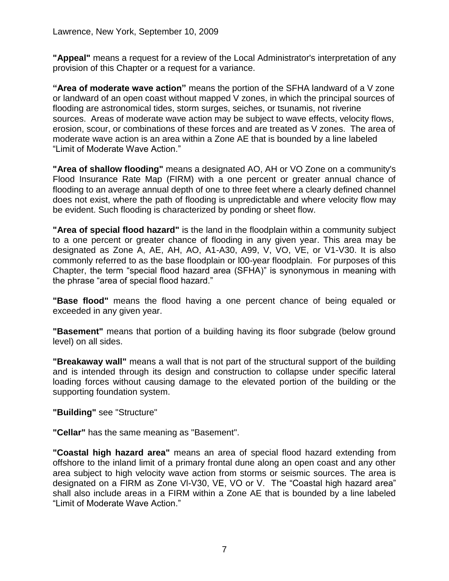**"Appeal"** means a request for a review of the Local Administrator's interpretation of any provision of this Chapter or a request for a variance.

**"Area of moderate wave action"** means the portion of the SFHA landward of a V zone or landward of an open coast without mapped V zones, in which the principal sources of flooding are astronomical tides, storm surges, seiches, or tsunamis, not riverine sources. Areas of moderate wave action may be subject to wave effects, velocity flows, erosion, scour, or combinations of these forces and are treated as V zones. The area of moderate wave action is an area within a Zone AE that is bounded by a line labeled "Limit of Moderate Wave Action."

**"Area of shallow flooding"** means a designated AO, AH or VO Zone on a community's Flood Insurance Rate Map (FIRM) with a one percent or greater annual chance of flooding to an average annual depth of one to three feet where a clearly defined channel does not exist, where the path of flooding is unpredictable and where velocity flow may be evident. Such flooding is characterized by ponding or sheet flow.

**"Area of special flood hazard"** is the land in the floodplain within a community subject to a one percent or greater chance of flooding in any given year. This area may be designated as Zone A, AE, AH, AO, A1-A30, A99, V, VO, VE, or V1-V30. It is also commonly referred to as the base floodplain or l00-year floodplain. For purposes of this Chapter, the term "special flood hazard area (SFHA)" is synonymous in meaning with the phrase "area of special flood hazard."

**"Base flood"** means the flood having a one percent chance of being equaled or exceeded in any given year.

**"Basement"** means that portion of a building having its floor subgrade (below ground level) on all sides.

**"Breakaway wall"** means a wall that is not part of the structural support of the building and is intended through its design and construction to collapse under specific lateral loading forces without causing damage to the elevated portion of the building or the supporting foundation system.

## **"Building"** see "Structure"

**"Cellar"** has the same meaning as "Basement".

**"Coastal high hazard area"** means an area of special flood hazard extending from offshore to the inland limit of a primary frontal dune along an open coast and any other area subject to high velocity wave action from storms or seismic sources. The area is designated on a FIRM as Zone Vl-V30, VE, VO or V. The "Coastal high hazard area" shall also include areas in a FIRM within a Zone AE that is bounded by a line labeled "Limit of Moderate Wave Action."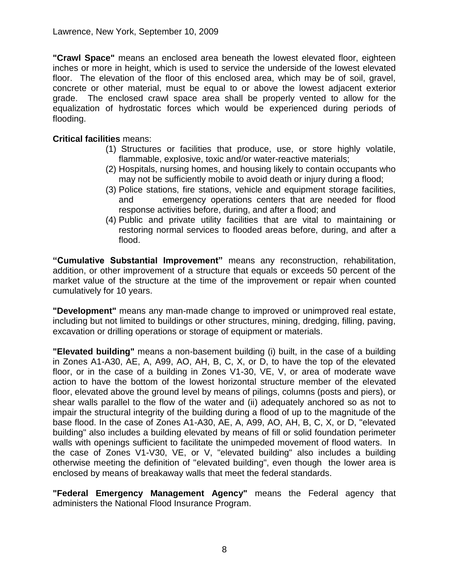**"Crawl Space"** means an enclosed area beneath the lowest elevated floor, eighteen inches or more in height, which is used to service the underside of the lowest elevated floor. The elevation of the floor of this enclosed area, which may be of soil, gravel, concrete or other material, must be equal to or above the lowest adjacent exterior grade. The enclosed crawl space area shall be properly vented to allow for the equalization of hydrostatic forces which would be experienced during periods of flooding.

## **Critical facilities** means:

- (1) Structures or facilities that produce, use, or store highly volatile, flammable, explosive, toxic and/or water-reactive materials;
- (2) Hospitals, nursing homes, and housing likely to contain occupants who may not be sufficiently mobile to avoid death or injury during a flood;
- (3) Police stations, fire stations, vehicle and equipment storage facilities, and emergency operations centers that are needed for flood response activities before, during, and after a flood; and
- (4) Public and private utility facilities that are vital to maintaining or restoring normal services to flooded areas before, during, and after a flood.

**"Cumulative Substantial Improvement"** means any reconstruction, rehabilitation, addition, or other improvement of a structure that equals or exceeds 50 percent of the market value of the structure at the time of the improvement or repair when counted cumulatively for 10 years.

**"Development"** means any man-made change to improved or unimproved real estate, including but not limited to buildings or other structures, mining, dredging, filling, paving, excavation or drilling operations or storage of equipment or materials.

**"Elevated building"** means a non-basement building (i) built, in the case of a building in Zones A1-A30, AE, A, A99, AO, AH, B, C, X, or D, to have the top of the elevated floor, or in the case of a building in Zones V1-30, VE, V, or area of moderate wave action to have the bottom of the lowest horizontal structure member of the elevated floor, elevated above the ground level by means of pilings, columns (posts and piers), or shear walls parallel to the flow of the water and (ii) adequately anchored so as not to impair the structural integrity of the building during a flood of up to the magnitude of the base flood. In the case of Zones A1-A30, AE, A, A99, AO, AH, B, C, X, or D, "elevated building" also includes a building elevated by means of fill or solid foundation perimeter walls with openings sufficient to facilitate the unimpeded movement of flood waters. In the case of Zones V1-V30, VE, or V, "elevated building" also includes a building otherwise meeting the definition of "elevated building", even though the lower area is enclosed by means of breakaway walls that meet the federal standards.

**"Federal Emergency Management Agency"** means the Federal agency that administers the National Flood Insurance Program.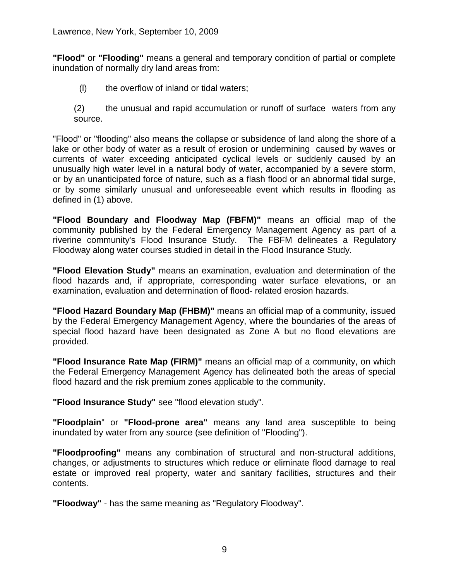**"Flood"** or **"Flooding"** means a general and temporary condition of partial or complete inundation of normally dry land areas from:

- (l) the overflow of inland or tidal waters;
- (2) the unusual and rapid accumulation or runoff of surface waters from any source.

"Flood" or "flooding" also means the collapse or subsidence of land along the shore of a lake or other body of water as a result of erosion or undermining caused by waves or currents of water exceeding anticipated cyclical levels or suddenly caused by an unusually high water level in a natural body of water, accompanied by a severe storm, or by an unanticipated force of nature, such as a flash flood or an abnormal tidal surge, or by some similarly unusual and unforeseeable event which results in flooding as defined in (1) above.

**"Flood Boundary and Floodway Map (FBFM)"** means an official map of the community published by the Federal Emergency Management Agency as part of a riverine community's Flood Insurance Study. The FBFM delineates a Regulatory Floodway along water courses studied in detail in the Flood Insurance Study.

**"Flood Elevation Study"** means an examination, evaluation and determination of the flood hazards and, if appropriate, corresponding water surface elevations, or an examination, evaluation and determination of flood- related erosion hazards.

**"Flood Hazard Boundary Map (FHBM)"** means an official map of a community, issued by the Federal Emergency Management Agency, where the boundaries of the areas of special flood hazard have been designated as Zone A but no flood elevations are provided.

**"Flood Insurance Rate Map (FIRM)"** means an official map of a community, on which the Federal Emergency Management Agency has delineated both the areas of special flood hazard and the risk premium zones applicable to the community.

**"Flood Insurance Study"** see "flood elevation study".

**"Floodplain**" or **"Flood-prone area"** means any land area susceptible to being inundated by water from any source (see definition of "Flooding").

**"Floodproofing"** means any combination of structural and non-structural additions, changes, or adjustments to structures which reduce or eliminate flood damage to real estate or improved real property, water and sanitary facilities, structures and their contents.

**"Floodway"** - has the same meaning as "Regulatory Floodway".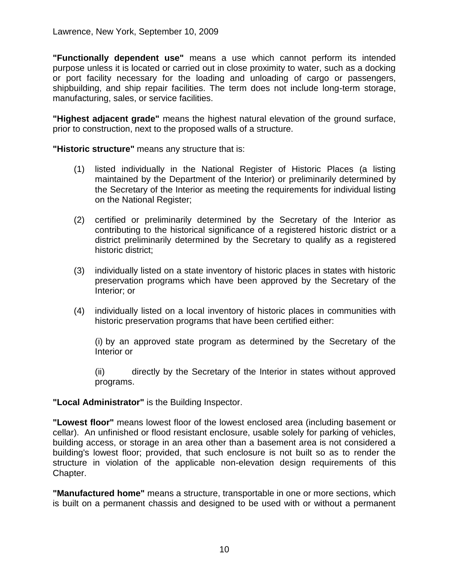**"Functionally dependent use"** means a use which cannot perform its intended purpose unless it is located or carried out in close proximity to water, such as a docking or port facility necessary for the loading and unloading of cargo or passengers, shipbuilding, and ship repair facilities. The term does not include long-term storage, manufacturing, sales, or service facilities.

**"Highest adjacent grade"** means the highest natural elevation of the ground surface, prior to construction, next to the proposed walls of a structure.

**"Historic structure"** means any structure that is:

- (1) listed individually in the National Register of Historic Places (a listing maintained by the Department of the Interior) or preliminarily determined by the Secretary of the Interior as meeting the requirements for individual listing on the National Register;
- (2) certified or preliminarily determined by the Secretary of the Interior as contributing to the historical significance of a registered historic district or a district preliminarily determined by the Secretary to qualify as a registered historic district;
- (3) individually listed on a state inventory of historic places in states with historic preservation programs which have been approved by the Secretary of the Interior; or
- (4) individually listed on a local inventory of historic places in communities with historic preservation programs that have been certified either:

(i) by an approved state program as determined by the Secretary of the Interior or

(ii) directly by the Secretary of the Interior in states without approved programs.

**"Local Administrator"** is the Building Inspector.

**"Lowest floor"** means lowest floor of the lowest enclosed area (including basement or cellar). An unfinished or flood resistant enclosure, usable solely for parking of vehicles, building access, or storage in an area other than a basement area is not considered a building's lowest floor; provided, that such enclosure is not built so as to render the structure in violation of the applicable non-elevation design requirements of this Chapter.

**"Manufactured home"** means a structure, transportable in one or more sections, which is built on a permanent chassis and designed to be used with or without a permanent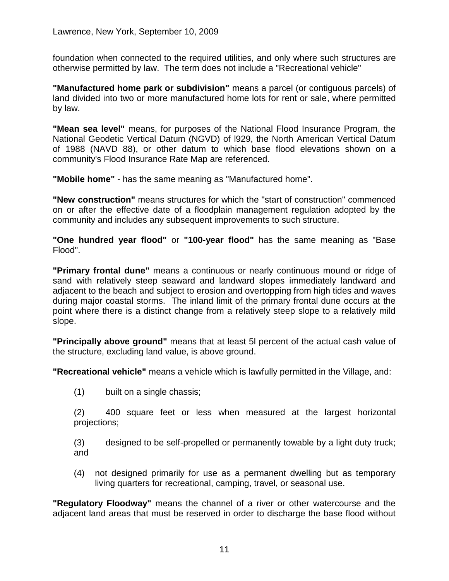foundation when connected to the required utilities, and only where such structures are otherwise permitted by law. The term does not include a "Recreational vehicle"

**"Manufactured home park or subdivision"** means a parcel (or contiguous parcels) of land divided into two or more manufactured home lots for rent or sale, where permitted by law.

**"Mean sea level"** means, for purposes of the National Flood Insurance Program, the National Geodetic Vertical Datum (NGVD) of l929, the North American Vertical Datum of 1988 (NAVD 88), or other datum to which base flood elevations shown on a community's Flood Insurance Rate Map are referenced.

**"Mobile home"** - has the same meaning as "Manufactured home".

**"New construction"** means structures for which the "start of construction" commenced on or after the effective date of a floodplain management regulation adopted by the community and includes any subsequent improvements to such structure.

**"One hundred year flood"** or **"100-year flood"** has the same meaning as "Base Flood".

**"Primary frontal dune"** means a continuous or nearly continuous mound or ridge of sand with relatively steep seaward and landward slopes immediately landward and adjacent to the beach and subject to erosion and overtopping from high tides and waves during major coastal storms. The inland limit of the primary frontal dune occurs at the point where there is a distinct change from a relatively steep slope to a relatively mild slope.

**"Principally above ground"** means that at least 5l percent of the actual cash value of the structure, excluding land value, is above ground.

**"Recreational vehicle"** means a vehicle which is lawfully permitted in the Village, and:

(1) built on a single chassis;

(2) 400 square feet or less when measured at the largest horizontal projections;

(3) designed to be self-propelled or permanently towable by a light duty truck; and

(4) not designed primarily for use as a permanent dwelling but as temporary living quarters for recreational, camping, travel, or seasonal use.

**"Regulatory Floodway"** means the channel of a river or other watercourse and the adjacent land areas that must be reserved in order to discharge the base flood without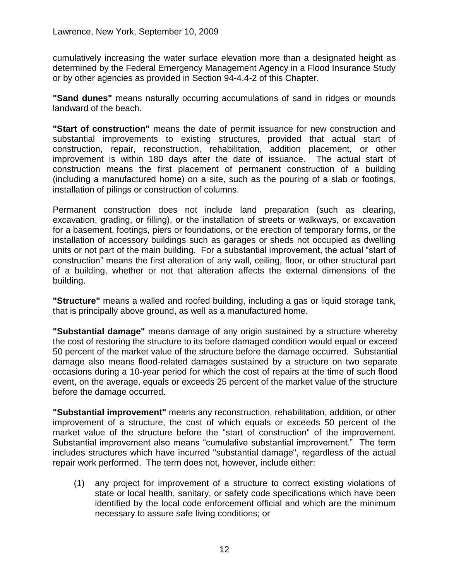cumulatively increasing the water surface elevation more than a designated height as determined by the Federal Emergency Management Agency in a Flood Insurance Study or by other agencies as provided in Section 94-4.4-2 of this Chapter.

**"Sand dunes"** means naturally occurring accumulations of sand in ridges or mounds landward of the beach.

**"Start of construction"** means the date of permit issuance for new construction and substantial improvements to existing structures, provided that actual start of construction, repair, reconstruction, rehabilitation, addition placement, or other improvement is within 180 days after the date of issuance. The actual start of construction means the first placement of permanent construction of a building (including a manufactured home) on a site, such as the pouring of a slab or footings, installation of pilings or construction of columns.

Permanent construction does not include land preparation (such as clearing, excavation, grading, or filling), or the installation of streets or walkways, or excavation for a basement, footings, piers or foundations, or the erection of temporary forms, or the installation of accessory buildings such as garages or sheds not occupied as dwelling units or not part of the main building. For a substantial improvement, the actual "start of construction" means the first alteration of any wall, ceiling, floor, or other structural part of a building, whether or not that alteration affects the external dimensions of the building.

**"Structure"** means a walled and roofed building, including a gas or liquid storage tank, that is principally above ground, as well as a manufactured home.

**"Substantial damage"** means damage of any origin sustained by a structure whereby the cost of restoring the structure to its before damaged condition would equal or exceed 50 percent of the market value of the structure before the damage occurred. Substantial damage also means flood-related damages sustained by a structure on two separate occasions during a 10-year period for which the cost of repairs at the time of such flood event, on the average, equals or exceeds 25 percent of the market value of the structure before the damage occurred.

**"Substantial improvement"** means any reconstruction, rehabilitation, addition, or other improvement of a structure, the cost of which equals or exceeds 50 percent of the market value of the structure before the "start of construction" of the improvement. Substantial improvement also means "cumulative substantial improvement." The term includes structures which have incurred "substantial damage", regardless of the actual repair work performed. The term does not, however, include either:

(1) any project for improvement of a structure to correct existing violations of state or local health, sanitary, or safety code specifications which have been identified by the local code enforcement official and which are the minimum necessary to assure safe living conditions; or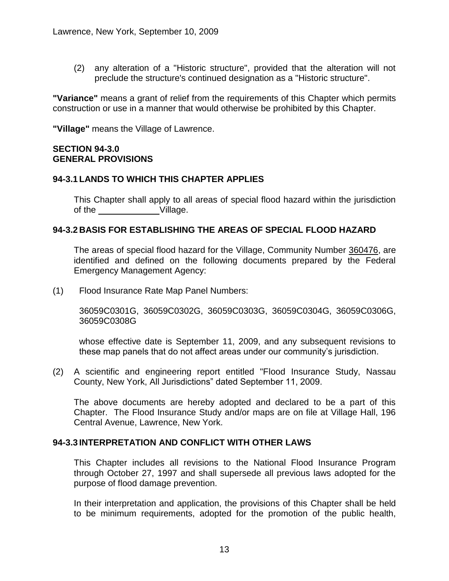(2) any alteration of a "Historic structure", provided that the alteration will not preclude the structure's continued designation as a "Historic structure".

**"Variance"** means a grant of relief from the requirements of this Chapter which permits construction or use in a manner that would otherwise be prohibited by this Chapter.

**"Village"** means the Village of Lawrence.

## **SECTION 94-3.0 GENERAL PROVISIONS**

## **94-3.1 LANDS TO WHICH THIS CHAPTER APPLIES**

This Chapter shall apply to all areas of special flood hazard within the jurisdiction of the Village.

## **94-3.2 BASIS FOR ESTABLISHING THE AREAS OF SPECIAL FLOOD HAZARD**

The areas of special flood hazard for the Village, Community Number 360476, are identified and defined on the following documents prepared by the Federal Emergency Management Agency:

(1) Flood Insurance Rate Map Panel Numbers:

36059C0301G, 36059C0302G, 36059C0303G, 36059C0304G, 36059C0306G, 36059C0308G

whose effective date is September 11, 2009, and any subsequent revisions to these map panels that do not affect areas under our community's jurisdiction.

(2) A scientific and engineering report entitled "Flood Insurance Study, Nassau County, New York, All Jurisdictions" dated September 11, 2009.

The above documents are hereby adopted and declared to be a part of this Chapter. The Flood Insurance Study and/or maps are on file at Village Hall, 196 Central Avenue, Lawrence, New York.

## **94-3.3 INTERPRETATION AND CONFLICT WITH OTHER LAWS**

This Chapter includes all revisions to the National Flood Insurance Program through October 27, 1997 and shall supersede all previous laws adopted for the purpose of flood damage prevention.

In their interpretation and application, the provisions of this Chapter shall be held to be minimum requirements, adopted for the promotion of the public health,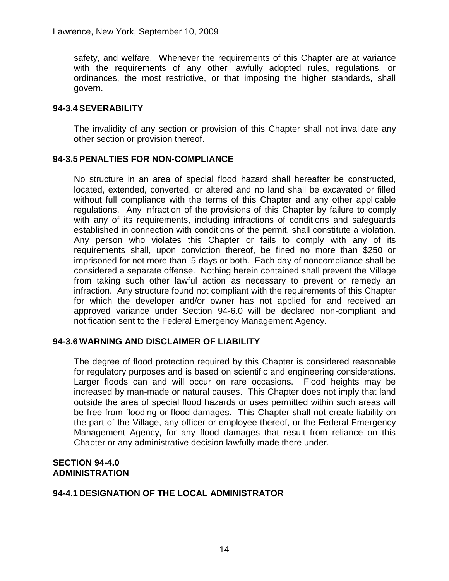safety, and welfare. Whenever the requirements of this Chapter are at variance with the requirements of any other lawfully adopted rules, regulations, or ordinances, the most restrictive, or that imposing the higher standards, shall govern.

## **94-3.4SEVERABILITY**

The invalidity of any section or provision of this Chapter shall not invalidate any other section or provision thereof.

## **94-3.5PENALTIES FOR NON-COMPLIANCE**

No structure in an area of special flood hazard shall hereafter be constructed, located, extended, converted, or altered and no land shall be excavated or filled without full compliance with the terms of this Chapter and any other applicable regulations. Any infraction of the provisions of this Chapter by failure to comply with any of its requirements, including infractions of conditions and safeguards established in connection with conditions of the permit, shall constitute a violation. Any person who violates this Chapter or fails to comply with any of its requirements shall, upon conviction thereof, be fined no more than \$250 or imprisoned for not more than l5 days or both. Each day of noncompliance shall be considered a separate offense. Nothing herein contained shall prevent the Village from taking such other lawful action as necessary to prevent or remedy an infraction. Any structure found not compliant with the requirements of this Chapter for which the developer and/or owner has not applied for and received an approved variance under Section 94-6.0 will be declared non-compliant and notification sent to the Federal Emergency Management Agency.

## **94-3.6WARNING AND DISCLAIMER OF LIABILITY**

The degree of flood protection required by this Chapter is considered reasonable for regulatory purposes and is based on scientific and engineering considerations. Larger floods can and will occur on rare occasions. Flood heights may be increased by man-made or natural causes. This Chapter does not imply that land outside the area of special flood hazards or uses permitted within such areas will be free from flooding or flood damages. This Chapter shall not create liability on the part of the Village, any officer or employee thereof, or the Federal Emergency Management Agency, for any flood damages that result from reliance on this Chapter or any administrative decision lawfully made there under.

#### **SECTION 94-4.0 ADMINISTRATION**

# **94-4.1 DESIGNATION OF THE LOCAL ADMINISTRATOR**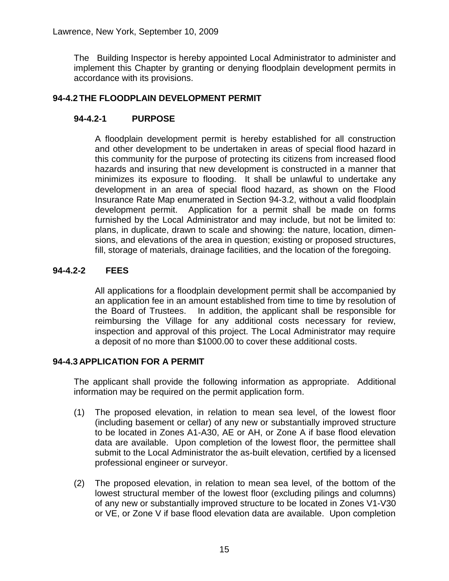The Building Inspector is hereby appointed Local Administrator to administer and implement this Chapter by granting or denying floodplain development permits in accordance with its provisions.

# **94-4.2 THE FLOODPLAIN DEVELOPMENT PERMIT**

# **94-4.2-1 PURPOSE**

A floodplain development permit is hereby established for all construction and other development to be undertaken in areas of special flood hazard in this community for the purpose of protecting its citizens from increased flood hazards and insuring that new development is constructed in a manner that minimizes its exposure to flooding. It shall be unlawful to undertake any development in an area of special flood hazard, as shown on the Flood Insurance Rate Map enumerated in Section 94-3.2, without a valid floodplain development permit. Application for a permit shall be made on forms furnished by the Local Administrator and may include, but not be limited to: plans, in duplicate, drawn to scale and showing: the nature, location, dimensions, and elevations of the area in question; existing or proposed structures, fill, storage of materials, drainage facilities, and the location of the foregoing.

# **94-4.2-2 FEES**

All applications for a floodplain development permit shall be accompanied by an application fee in an amount established from time to time by resolution of the Board of Trustees. In addition, the applicant shall be responsible for reimbursing the Village for any additional costs necessary for review, inspection and approval of this project. The Local Administrator may require a deposit of no more than \$1000.00 to cover these additional costs.

# **94-4.3 APPLICATION FOR A PERMIT**

The applicant shall provide the following information as appropriate. Additional information may be required on the permit application form.

- (1) The proposed elevation, in relation to mean sea level, of the lowest floor (including basement or cellar) of any new or substantially improved structure to be located in Zones A1-A30, AE or AH, or Zone A if base flood elevation data are available. Upon completion of the lowest floor, the permittee shall submit to the Local Administrator the as-built elevation, certified by a licensed professional engineer or surveyor.
- (2) The proposed elevation, in relation to mean sea level, of the bottom of the lowest structural member of the lowest floor (excluding pilings and columns) of any new or substantially improved structure to be located in Zones V1-V30 or VE, or Zone V if base flood elevation data are available. Upon completion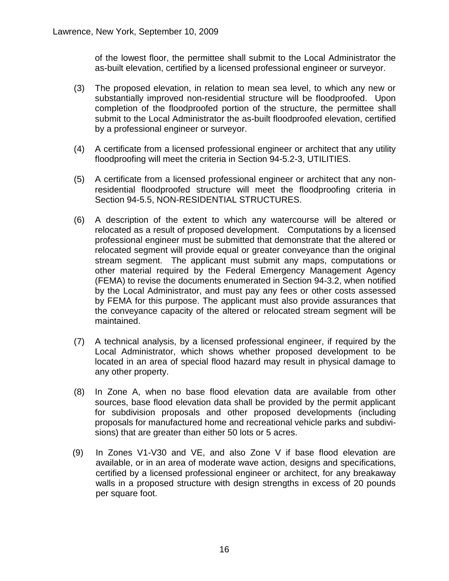of the lowest floor, the permittee shall submit to the Local Administrator the as-built elevation, certified by a licensed professional engineer or surveyor.

- (3) The proposed elevation, in relation to mean sea level, to which any new or substantially improved non-residential structure will be floodproofed. Upon completion of the floodproofed portion of the structure, the permittee shall submit to the Local Administrator the as-built floodproofed elevation, certified by a professional engineer or surveyor.
- (4) A certificate from a licensed professional engineer or architect that any utility floodproofing will meet the criteria in Section 94-5.2-3, UTILITIES.
- (5) A certificate from a licensed professional engineer or architect that any nonresidential floodproofed structure will meet the floodproofing criteria in Section 94-5.5, NON-RESIDENTIAL STRUCTURES.
- (6) A description of the extent to which any watercourse will be altered or relocated as a result of proposed development. Computations by a licensed professional engineer must be submitted that demonstrate that the altered or relocated segment will provide equal or greater conveyance than the original stream segment. The applicant must submit any maps, computations or other material required by the Federal Emergency Management Agency (FEMA) to revise the documents enumerated in Section 94-3.2, when notified by the Local Administrator, and must pay any fees or other costs assessed by FEMA for this purpose. The applicant must also provide assurances that the conveyance capacity of the altered or relocated stream segment will be maintained.
- (7) A technical analysis, by a licensed professional engineer, if required by the Local Administrator, which shows whether proposed development to be located in an area of special flood hazard may result in physical damage to any other property.
- (8) In Zone A, when no base flood elevation data are available from other sources, base flood elevation data shall be provided by the permit applicant for subdivision proposals and other proposed developments (including proposals for manufactured home and recreational vehicle parks and subdivisions) that are greater than either 50 lots or 5 acres.
- (9) In Zones V1-V30 and VE, and also Zone V if base flood elevation are available, or in an area of moderate wave action, designs and specifications, certified by a licensed professional engineer or architect, for any breakaway walls in a proposed structure with design strengths in excess of 20 pounds per square foot.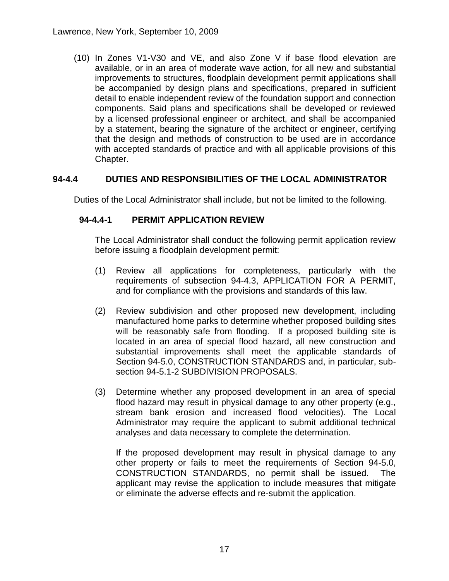(10) In Zones V1-V30 and VE, and also Zone V if base flood elevation are available, or in an area of moderate wave action, for all new and substantial improvements to structures, floodplain development permit applications shall be accompanied by design plans and specifications, prepared in sufficient detail to enable independent review of the foundation support and connection components. Said plans and specifications shall be developed or reviewed by a licensed professional engineer or architect, and shall be accompanied by a statement, bearing the signature of the architect or engineer, certifying that the design and methods of construction to be used are in accordance with accepted standards of practice and with all applicable provisions of this Chapter.

# **94-4.4 DUTIES AND RESPONSIBILITIES OF THE LOCAL ADMINISTRATOR**

Duties of the Local Administrator shall include, but not be limited to the following.

# **94-4.4-1 PERMIT APPLICATION REVIEW**

The Local Administrator shall conduct the following permit application review before issuing a floodplain development permit:

- (1) Review all applications for completeness, particularly with the requirements of subsection 94-4.3, APPLICATION FOR A PERMIT, and for compliance with the provisions and standards of this law.
- (2) Review subdivision and other proposed new development, including manufactured home parks to determine whether proposed building sites will be reasonably safe from flooding. If a proposed building site is located in an area of special flood hazard, all new construction and substantial improvements shall meet the applicable standards of Section 94-5.0, CONSTRUCTION STANDARDS and, in particular, subsection 94-5.1-2 SUBDIVISION PROPOSALS.
- (3) Determine whether any proposed development in an area of special flood hazard may result in physical damage to any other property (e.g., stream bank erosion and increased flood velocities). The Local Administrator may require the applicant to submit additional technical analyses and data necessary to complete the determination.

If the proposed development may result in physical damage to any other property or fails to meet the requirements of Section 94-5.0, CONSTRUCTION STANDARDS, no permit shall be issued. The applicant may revise the application to include measures that mitigate or eliminate the adverse effects and re-submit the application.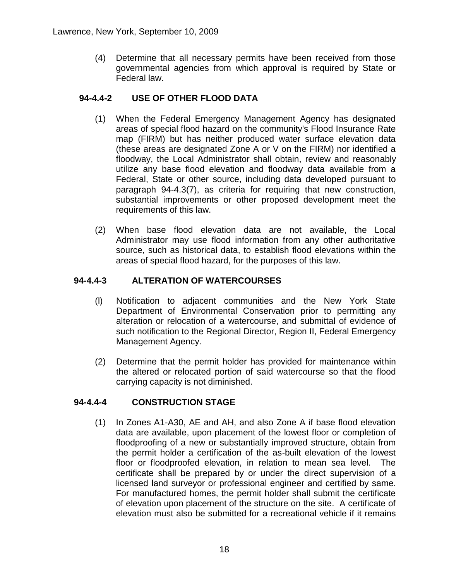(4) Determine that all necessary permits have been received from those governmental agencies from which approval is required by State or Federal law.

# **94-4.4-2 USE OF OTHER FLOOD DATA**

- (1) When the Federal Emergency Management Agency has designated areas of special flood hazard on the community's Flood Insurance Rate map (FIRM) but has neither produced water surface elevation data (these areas are designated Zone A or V on the FIRM) nor identified a floodway, the Local Administrator shall obtain, review and reasonably utilize any base flood elevation and floodway data available from a Federal, State or other source, including data developed pursuant to paragraph 94-4.3(7), as criteria for requiring that new construction, substantial improvements or other proposed development meet the requirements of this law.
- (2) When base flood elevation data are not available, the Local Administrator may use flood information from any other authoritative source, such as historical data, to establish flood elevations within the areas of special flood hazard, for the purposes of this law.

# **94-4.4-3 ALTERATION OF WATERCOURSES**

- (l) Notification to adjacent communities and the New York State Department of Environmental Conservation prior to permitting any alteration or relocation of a watercourse, and submittal of evidence of such notification to the Regional Director, Region II, Federal Emergency Management Agency.
- (2) Determine that the permit holder has provided for maintenance within the altered or relocated portion of said watercourse so that the flood carrying capacity is not diminished.

# **94-4.4-4 CONSTRUCTION STAGE**

(1) In Zones A1-A30, AE and AH, and also Zone A if base flood elevation data are available, upon placement of the lowest floor or completion of floodproofing of a new or substantially improved structure, obtain from the permit holder a certification of the as-built elevation of the lowest floor or floodproofed elevation, in relation to mean sea level. The certificate shall be prepared by or under the direct supervision of a licensed land surveyor or professional engineer and certified by same. For manufactured homes, the permit holder shall submit the certificate of elevation upon placement of the structure on the site. A certificate of elevation must also be submitted for a recreational vehicle if it remains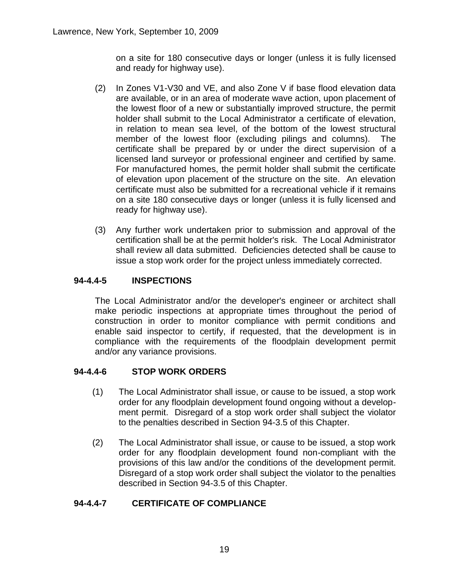on a site for 180 consecutive days or longer (unless it is fully licensed and ready for highway use).

- (2) In Zones V1-V30 and VE, and also Zone V if base flood elevation data are available, or in an area of moderate wave action, upon placement of the lowest floor of a new or substantially improved structure, the permit holder shall submit to the Local Administrator a certificate of elevation, in relation to mean sea level, of the bottom of the lowest structural member of the lowest floor (excluding pilings and columns). The certificate shall be prepared by or under the direct supervision of a licensed land surveyor or professional engineer and certified by same. For manufactured homes, the permit holder shall submit the certificate of elevation upon placement of the structure on the site. An elevation certificate must also be submitted for a recreational vehicle if it remains on a site 180 consecutive days or longer (unless it is fully licensed and ready for highway use).
- (3) Any further work undertaken prior to submission and approval of the certification shall be at the permit holder's risk. The Local Administrator shall review all data submitted. Deficiencies detected shall be cause to issue a stop work order for the project unless immediately corrected.

# **94-4.4-5 INSPECTIONS**

The Local Administrator and/or the developer's engineer or architect shall make periodic inspections at appropriate times throughout the period of construction in order to monitor compliance with permit conditions and enable said inspector to certify, if requested, that the development is in compliance with the requirements of the floodplain development permit and/or any variance provisions.

# **94-4.4-6 STOP WORK ORDERS**

- (1) The Local Administrator shall issue, or cause to be issued, a stop work order for any floodplain development found ongoing without a development permit. Disregard of a stop work order shall subject the violator to the penalties described in Section 94-3.5 of this Chapter.
- (2) The Local Administrator shall issue, or cause to be issued, a stop work order for any floodplain development found non-compliant with the provisions of this law and/or the conditions of the development permit. Disregard of a stop work order shall subject the violator to the penalties described in Section 94-3.5 of this Chapter.

# **94-4.4-7 CERTIFICATE OF COMPLIANCE**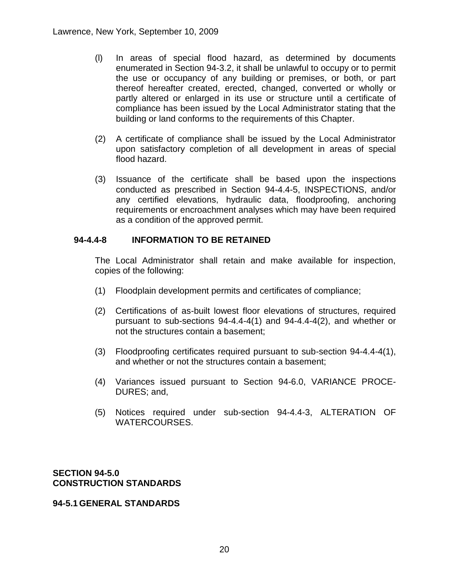- (l) In areas of special flood hazard, as determined by documents enumerated in Section 94-3.2, it shall be unlawful to occupy or to permit the use or occupancy of any building or premises, or both, or part thereof hereafter created, erected, changed, converted or wholly or partly altered or enlarged in its use or structure until a certificate of compliance has been issued by the Local Administrator stating that the building or land conforms to the requirements of this Chapter.
- (2) A certificate of compliance shall be issued by the Local Administrator upon satisfactory completion of all development in areas of special flood hazard.
- (3) Issuance of the certificate shall be based upon the inspections conducted as prescribed in Section 94-4.4-5, INSPECTIONS, and/or any certified elevations, hydraulic data, floodproofing, anchoring requirements or encroachment analyses which may have been required as a condition of the approved permit.

## **94-4.4-8 INFORMATION TO BE RETAINED**

The Local Administrator shall retain and make available for inspection, copies of the following:

- (1) Floodplain development permits and certificates of compliance;
- (2) Certifications of as-built lowest floor elevations of structures, required pursuant to sub-sections 94-4.4-4(1) and 94-4.4-4(2), and whether or not the structures contain a basement;
- (3) Floodproofing certificates required pursuant to sub-section 94-4.4-4(1), and whether or not the structures contain a basement;
- (4) Variances issued pursuant to Section 94-6.0, VARIANCE PROCE-DURES; and,
- (5) Notices required under sub-section 94-4.4-3, ALTERATION OF WATERCOURSES.

**SECTION 94-5.0 CONSTRUCTION STANDARDS**

#### **94-5.1 GENERAL STANDARDS**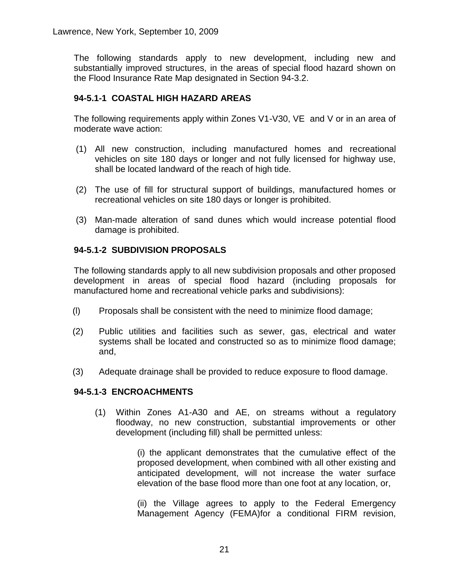The following standards apply to new development, including new and substantially improved structures, in the areas of special flood hazard shown on the Flood Insurance Rate Map designated in Section 94-3.2.

# **94-5.1-1 COASTAL HIGH HAZARD AREAS**

The following requirements apply within Zones V1-V30, VE and V or in an area of moderate wave action:

- (1) All new construction, including manufactured homes and recreational vehicles on site 180 days or longer and not fully licensed for highway use, shall be located landward of the reach of high tide.
- (2) The use of fill for structural support of buildings, manufactured homes or recreational vehicles on site 180 days or longer is prohibited.
- (3) Man-made alteration of sand dunes which would increase potential flood damage is prohibited.

# **94-5.1-2 SUBDIVISION PROPOSALS**

The following standards apply to all new subdivision proposals and other proposed development in areas of special flood hazard (including proposals for manufactured home and recreational vehicle parks and subdivisions):

- (l) Proposals shall be consistent with the need to minimize flood damage;
- (2) Public utilities and facilities such as sewer, gas, electrical and water systems shall be located and constructed so as to minimize flood damage; and,
- (3) Adequate drainage shall be provided to reduce exposure to flood damage.

# **94-5.1-3 ENCROACHMENTS**

(1) Within Zones A1-A30 and AE, on streams without a regulatory floodway, no new construction, substantial improvements or other development (including fill) shall be permitted unless:

> (i) the applicant demonstrates that the cumulative effect of the proposed development, when combined with all other existing and anticipated development, will not increase the water surface elevation of the base flood more than one foot at any location, or,

> (ii) the Village agrees to apply to the Federal Emergency Management Agency (FEMA)for a conditional FIRM revision,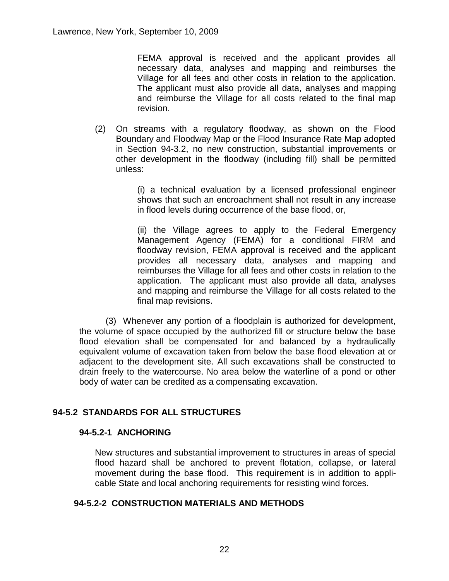FEMA approval is received and the applicant provides all necessary data, analyses and mapping and reimburses the Village for all fees and other costs in relation to the application. The applicant must also provide all data, analyses and mapping and reimburse the Village for all costs related to the final map revision.

(2) On streams with a regulatory floodway, as shown on the Flood Boundary and Floodway Map or the Flood Insurance Rate Map adopted in Section 94-3.2, no new construction, substantial improvements or other development in the floodway (including fill) shall be permitted unless:

> (i) a technical evaluation by a licensed professional engineer shows that such an encroachment shall not result in any increase in flood levels during occurrence of the base flood, or,

> (ii) the Village agrees to apply to the Federal Emergency Management Agency (FEMA) for a conditional FIRM and floodway revision, FEMA approval is received and the applicant provides all necessary data, analyses and mapping and reimburses the Village for all fees and other costs in relation to the application. The applicant must also provide all data, analyses and mapping and reimburse the Village for all costs related to the final map revisions.

(3) Whenever any portion of a floodplain is authorized for development, the volume of space occupied by the authorized fill or structure below the base flood elevation shall be compensated for and balanced by a hydraulically equivalent volume of excavation taken from below the base flood elevation at or adjacent to the development site. All such excavations shall be constructed to drain freely to the watercourse. No area below the waterline of a pond or other body of water can be credited as a compensating excavation.

# **94-5.2 STANDARDS FOR ALL STRUCTURES**

#### **94-5.2-1 ANCHORING**

New structures and substantial improvement to structures in areas of special flood hazard shall be anchored to prevent flotation, collapse, or lateral movement during the base flood. This requirement is in addition to applicable State and local anchoring requirements for resisting wind forces.

## **94-5.2-2 CONSTRUCTION MATERIALS AND METHODS**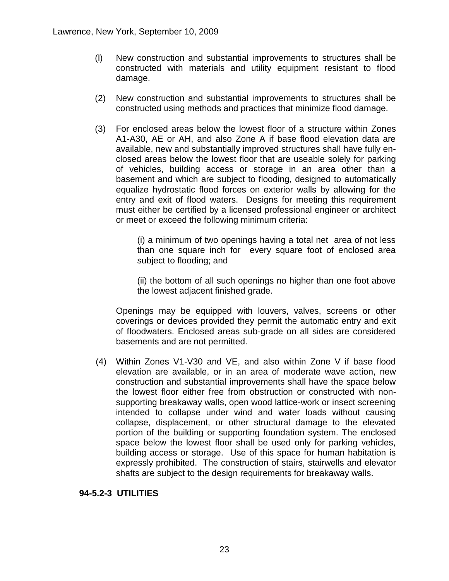- (l) New construction and substantial improvements to structures shall be constructed with materials and utility equipment resistant to flood damage.
- (2) New construction and substantial improvements to structures shall be constructed using methods and practices that minimize flood damage.
- (3) For enclosed areas below the lowest floor of a structure within Zones A1-A30, AE or AH, and also Zone A if base flood elevation data are available, new and substantially improved structures shall have fully enclosed areas below the lowest floor that are useable solely for parking of vehicles, building access or storage in an area other than a basement and which are subject to flooding, designed to automatically equalize hydrostatic flood forces on exterior walls by allowing for the entry and exit of flood waters. Designs for meeting this requirement must either be certified by a licensed professional engineer or architect or meet or exceed the following minimum criteria:

(i) a minimum of two openings having a total net area of not less than one square inch for every square foot of enclosed area subject to flooding; and

(ii) the bottom of all such openings no higher than one foot above the lowest adjacent finished grade.

Openings may be equipped with louvers, valves, screens or other coverings or devices provided they permit the automatic entry and exit of floodwaters. Enclosed areas sub-grade on all sides are considered basements and are not permitted.

(4) Within Zones V1-V30 and VE, and also within Zone V if base flood elevation are available, or in an area of moderate wave action, new construction and substantial improvements shall have the space below the lowest floor either free from obstruction or constructed with nonsupporting breakaway walls, open wood lattice-work or insect screening intended to collapse under wind and water loads without causing collapse, displacement, or other structural damage to the elevated portion of the building or supporting foundation system. The enclosed space below the lowest floor shall be used only for parking vehicles, building access or storage. Use of this space for human habitation is expressly prohibited. The construction of stairs, stairwells and elevator shafts are subject to the design requirements for breakaway walls.

## **94-5.2-3 UTILITIES**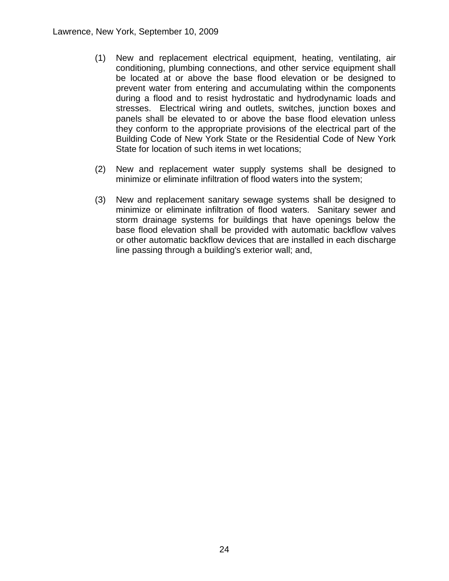- (1) New and replacement electrical equipment, heating, ventilating, air conditioning, plumbing connections, and other service equipment shall be located at or above the base flood elevation or be designed to prevent water from entering and accumulating within the components during a flood and to resist hydrostatic and hydrodynamic loads and stresses. Electrical wiring and outlets, switches, junction boxes and panels shall be elevated to or above the base flood elevation unless they conform to the appropriate provisions of the electrical part of the Building Code of New York State or the Residential Code of New York State for location of such items in wet locations;
- (2) New and replacement water supply systems shall be designed to minimize or eliminate infiltration of flood waters into the system;
- (3) New and replacement sanitary sewage systems shall be designed to minimize or eliminate infiltration of flood waters. Sanitary sewer and storm drainage systems for buildings that have openings below the base flood elevation shall be provided with automatic backflow valves or other automatic backflow devices that are installed in each discharge line passing through a building's exterior wall; and,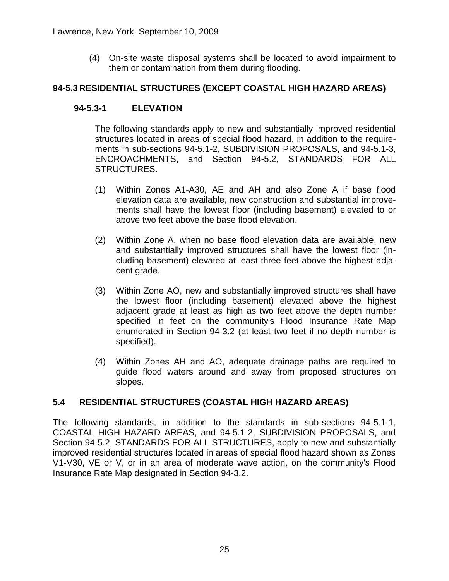(4) On-site waste disposal systems shall be located to avoid impairment to them or contamination from them during flooding.

## **94-5.3 RESIDENTIAL STRUCTURES (EXCEPT COASTAL HIGH HAZARD AREAS)**

## **94-5.3-1 ELEVATION**

The following standards apply to new and substantially improved residential structures located in areas of special flood hazard, in addition to the requirements in sub-sections 94-5.1-2, SUBDIVISION PROPOSALS, and 94-5.1-3, ENCROACHMENTS, and Section 94-5.2, STANDARDS FOR ALL STRUCTURES.

- (1) Within Zones A1-A30, AE and AH and also Zone A if base flood elevation data are available, new construction and substantial improvements shall have the lowest floor (including basement) elevated to or above two feet above the base flood elevation.
- (2) Within Zone A, when no base flood elevation data are available, new and substantially improved structures shall have the lowest floor (including basement) elevated at least three feet above the highest adjacent grade.
- (3) Within Zone AO, new and substantially improved structures shall have the lowest floor (including basement) elevated above the highest adjacent grade at least as high as two feet above the depth number specified in feet on the community's Flood Insurance Rate Map enumerated in Section 94-3.2 (at least two feet if no depth number is specified).
- (4) Within Zones AH and AO, adequate drainage paths are required to guide flood waters around and away from proposed structures on slopes.

## **5.4 RESIDENTIAL STRUCTURES (COASTAL HIGH HAZARD AREAS)**

The following standards, in addition to the standards in sub-sections 94-5.1-1, COASTAL HIGH HAZARD AREAS, and 94-5.1-2, SUBDIVISION PROPOSALS, and Section 94-5.2, STANDARDS FOR ALL STRUCTURES, apply to new and substantially improved residential structures located in areas of special flood hazard shown as Zones V1-V30, VE or V, or in an area of moderate wave action, on the community's Flood Insurance Rate Map designated in Section 94-3.2.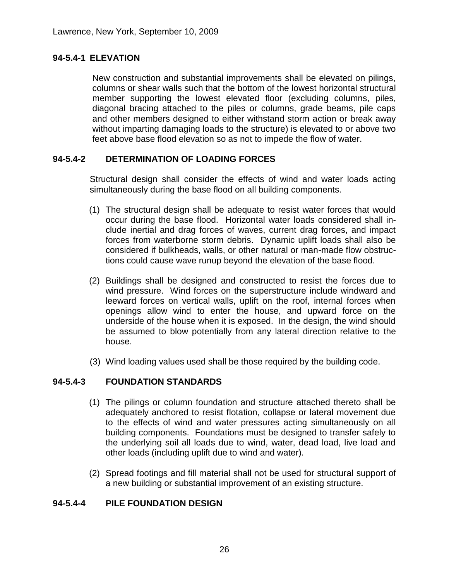# **94-5.4-1 ELEVATION**

New construction and substantial improvements shall be elevated on pilings, columns or shear walls such that the bottom of the lowest horizontal structural member supporting the lowest elevated floor (excluding columns, piles, diagonal bracing attached to the piles or columns, grade beams, pile caps and other members designed to either withstand storm action or break away without imparting damaging loads to the structure) is elevated to or above two feet above base flood elevation so as not to impede the flow of water.

## **94-5.4-2 DETERMINATION OF LOADING FORCES**

Structural design shall consider the effects of wind and water loads acting simultaneously during the base flood on all building components.

- (1) The structural design shall be adequate to resist water forces that would occur during the base flood. Horizontal water loads considered shall include inertial and drag forces of waves, current drag forces, and impact forces from waterborne storm debris. Dynamic uplift loads shall also be considered if bulkheads, walls, or other natural or man-made flow obstructions could cause wave runup beyond the elevation of the base flood.
- (2) Buildings shall be designed and constructed to resist the forces due to wind pressure. Wind forces on the superstructure include windward and leeward forces on vertical walls, uplift on the roof, internal forces when openings allow wind to enter the house, and upward force on the underside of the house when it is exposed. In the design, the wind should be assumed to blow potentially from any lateral direction relative to the house.
- (3) Wind loading values used shall be those required by the building code.

## **94-5.4-3 FOUNDATION STANDARDS**

- (1) The pilings or column foundation and structure attached thereto shall be adequately anchored to resist flotation, collapse or lateral movement due to the effects of wind and water pressures acting simultaneously on all building components. Foundations must be designed to transfer safely to the underlying soil all loads due to wind, water, dead load, live load and other loads (including uplift due to wind and water).
- (2) Spread footings and fill material shall not be used for structural support of a new building or substantial improvement of an existing structure.

## **94-5.4-4 PILE FOUNDATION DESIGN**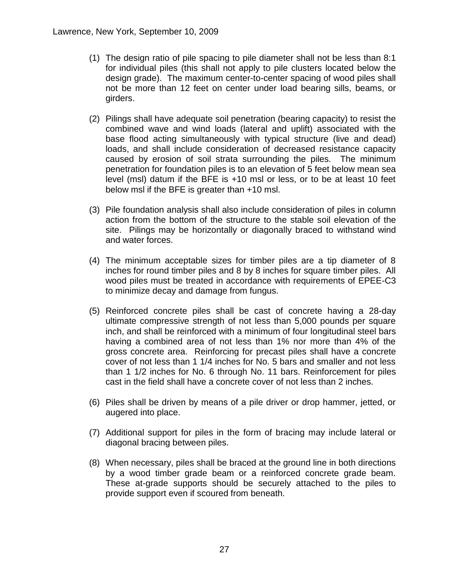- (1) The design ratio of pile spacing to pile diameter shall not be less than 8:1 for individual piles (this shall not apply to pile clusters located below the design grade). The maximum center-to-center spacing of wood piles shall not be more than 12 feet on center under load bearing sills, beams, or girders.
- (2) Pilings shall have adequate soil penetration (bearing capacity) to resist the combined wave and wind loads (lateral and uplift) associated with the base flood acting simultaneously with typical structure (live and dead) loads, and shall include consideration of decreased resistance capacity caused by erosion of soil strata surrounding the piles. The minimum penetration for foundation piles is to an elevation of 5 feet below mean sea level (msl) datum if the BFE is +10 msl or less, or to be at least 10 feet below msl if the BFE is greater than +10 msl.
- (3) Pile foundation analysis shall also include consideration of piles in column action from the bottom of the structure to the stable soil elevation of the site. Pilings may be horizontally or diagonally braced to withstand wind and water forces.
- (4) The minimum acceptable sizes for timber piles are a tip diameter of 8 inches for round timber piles and 8 by 8 inches for square timber piles. All wood piles must be treated in accordance with requirements of EPEE-C3 to minimize decay and damage from fungus.
- (5) Reinforced concrete piles shall be cast of concrete having a 28-day ultimate compressive strength of not less than 5,000 pounds per square inch, and shall be reinforced with a minimum of four longitudinal steel bars having a combined area of not less than 1% nor more than 4% of the gross concrete area. Reinforcing for precast piles shall have a concrete cover of not less than 1 1/4 inches for No. 5 bars and smaller and not less than 1 1/2 inches for No. 6 through No. 11 bars. Reinforcement for piles cast in the field shall have a concrete cover of not less than 2 inches.
- (6) Piles shall be driven by means of a pile driver or drop hammer, jetted, or augered into place.
- (7) Additional support for piles in the form of bracing may include lateral or diagonal bracing between piles.
- (8) When necessary, piles shall be braced at the ground line in both directions by a wood timber grade beam or a reinforced concrete grade beam. These at-grade supports should be securely attached to the piles to provide support even if scoured from beneath.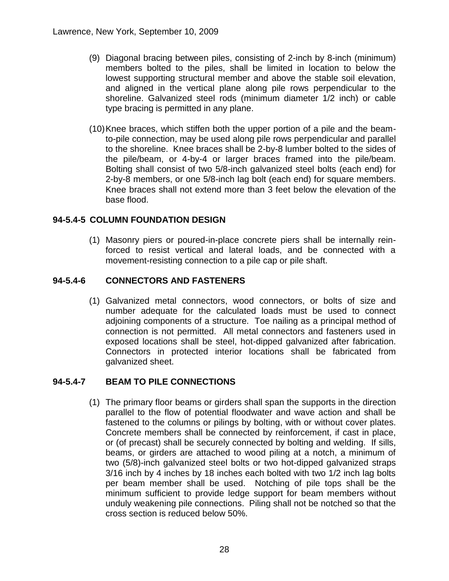- (9) Diagonal bracing between piles, consisting of 2-inch by 8-inch (minimum) members bolted to the piles, shall be limited in location to below the lowest supporting structural member and above the stable soil elevation, and aligned in the vertical plane along pile rows perpendicular to the shoreline. Galvanized steel rods (minimum diameter 1/2 inch) or cable type bracing is permitted in any plane.
- (10)Knee braces, which stiffen both the upper portion of a pile and the beamto-pile connection, may be used along pile rows perpendicular and parallel to the shoreline. Knee braces shall be 2-by-8 lumber bolted to the sides of the pile/beam, or 4-by-4 or larger braces framed into the pile/beam. Bolting shall consist of two 5/8-inch galvanized steel bolts (each end) for 2-by-8 members, or one 5/8-inch lag bolt (each end) for square members. Knee braces shall not extend more than 3 feet below the elevation of the base flood.

# **94-5.4-5 COLUMN FOUNDATION DESIGN**

(1) Masonry piers or poured-in-place concrete piers shall be internally reinforced to resist vertical and lateral loads, and be connected with a movement-resisting connection to a pile cap or pile shaft.

# **94-5.4-6 CONNECTORS AND FASTENERS**

(1) Galvanized metal connectors, wood connectors, or bolts of size and number adequate for the calculated loads must be used to connect adjoining components of a structure. Toe nailing as a principal method of connection is not permitted. All metal connectors and fasteners used in exposed locations shall be steel, hot-dipped galvanized after fabrication. Connectors in protected interior locations shall be fabricated from galvanized sheet.

# **94-5.4-7 BEAM TO PILE CONNECTIONS**

(1) The primary floor beams or girders shall span the supports in the direction parallel to the flow of potential floodwater and wave action and shall be fastened to the columns or pilings by bolting, with or without cover plates. Concrete members shall be connected by reinforcement, if cast in place, or (of precast) shall be securely connected by bolting and welding. If sills, beams, or girders are attached to wood piling at a notch, a minimum of two (5/8)-inch galvanized steel bolts or two hot-dipped galvanized straps 3/16 inch by 4 inches by 18 inches each bolted with two 1/2 inch lag bolts per beam member shall be used. Notching of pile tops shall be the minimum sufficient to provide ledge support for beam members without unduly weakening pile connections. Piling shall not be notched so that the cross section is reduced below 50%.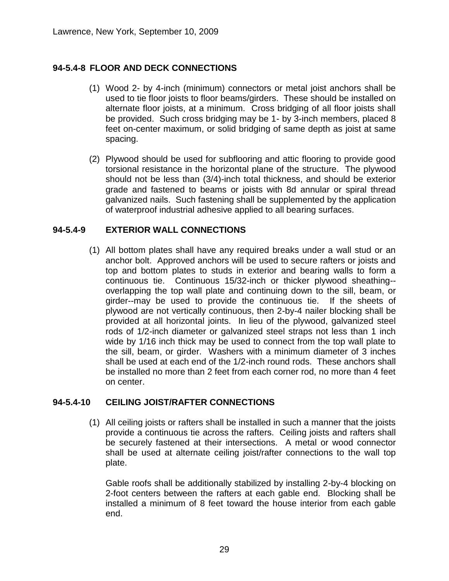# **94-5.4-8 FLOOR AND DECK CONNECTIONS**

- (1) Wood 2- by 4-inch (minimum) connectors or metal joist anchors shall be used to tie floor joists to floor beams/girders. These should be installed on alternate floor joists, at a minimum. Cross bridging of all floor joists shall be provided. Such cross bridging may be 1- by 3-inch members, placed 8 feet on-center maximum, or solid bridging of same depth as joist at same spacing.
- (2) Plywood should be used for subflooring and attic flooring to provide good torsional resistance in the horizontal plane of the structure. The plywood should not be less than (3/4)-inch total thickness, and should be exterior grade and fastened to beams or joists with 8d annular or spiral thread galvanized nails. Such fastening shall be supplemented by the application of waterproof industrial adhesive applied to all bearing surfaces.

## **94-5.4-9 EXTERIOR WALL CONNECTIONS**

(1) All bottom plates shall have any required breaks under a wall stud or an anchor bolt. Approved anchors will be used to secure rafters or joists and top and bottom plates to studs in exterior and bearing walls to form a continuous tie. Continuous 15/32-inch or thicker plywood sheathing- overlapping the top wall plate and continuing down to the sill, beam, or girder--may be used to provide the continuous tie. If the sheets of plywood are not vertically continuous, then 2-by-4 nailer blocking shall be provided at all horizontal joints. In lieu of the plywood, galvanized steel rods of 1/2-inch diameter or galvanized steel straps not less than 1 inch wide by 1/16 inch thick may be used to connect from the top wall plate to the sill, beam, or girder. Washers with a minimum diameter of 3 inches shall be used at each end of the 1/2-inch round rods. These anchors shall be installed no more than 2 feet from each corner rod, no more than 4 feet on center.

# **94-5.4-10 CEILING JOIST/RAFTER CONNECTIONS**

(1) All ceiling joists or rafters shall be installed in such a manner that the joists provide a continuous tie across the rafters. Ceiling joists and rafters shall be securely fastened at their intersections. A metal or wood connector shall be used at alternate ceiling joist/rafter connections to the wall top plate.

Gable roofs shall be additionally stabilized by installing 2-by-4 blocking on 2-foot centers between the rafters at each gable end. Blocking shall be installed a minimum of 8 feet toward the house interior from each gable end.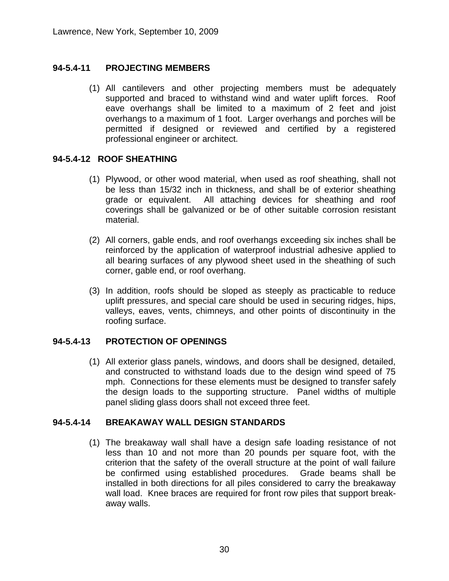# **94-5.4-11 PROJECTING MEMBERS**

(1) All cantilevers and other projecting members must be adequately supported and braced to withstand wind and water uplift forces. Roof eave overhangs shall be limited to a maximum of 2 feet and joist overhangs to a maximum of 1 foot. Larger overhangs and porches will be permitted if designed or reviewed and certified by a registered professional engineer or architect.

## **94-5.4-12 ROOF SHEATHING**

- (1) Plywood, or other wood material, when used as roof sheathing, shall not be less than 15/32 inch in thickness, and shall be of exterior sheathing grade or equivalent. All attaching devices for sheathing and roof coverings shall be galvanized or be of other suitable corrosion resistant material.
- (2) All corners, gable ends, and roof overhangs exceeding six inches shall be reinforced by the application of waterproof industrial adhesive applied to all bearing surfaces of any plywood sheet used in the sheathing of such corner, gable end, or roof overhang.
- (3) In addition, roofs should be sloped as steeply as practicable to reduce uplift pressures, and special care should be used in securing ridges, hips, valleys, eaves, vents, chimneys, and other points of discontinuity in the roofing surface.

# **94-5.4-13 PROTECTION OF OPENINGS**

(1) All exterior glass panels, windows, and doors shall be designed, detailed, and constructed to withstand loads due to the design wind speed of 75 mph. Connections for these elements must be designed to transfer safely the design loads to the supporting structure. Panel widths of multiple panel sliding glass doors shall not exceed three feet.

## **94-5.4-14 BREAKAWAY WALL DESIGN STANDARDS**

(1) The breakaway wall shall have a design safe loading resistance of not less than 10 and not more than 20 pounds per square foot, with the criterion that the safety of the overall structure at the point of wall failure be confirmed using established procedures. Grade beams shall be installed in both directions for all piles considered to carry the breakaway wall load. Knee braces are required for front row piles that support breakaway walls.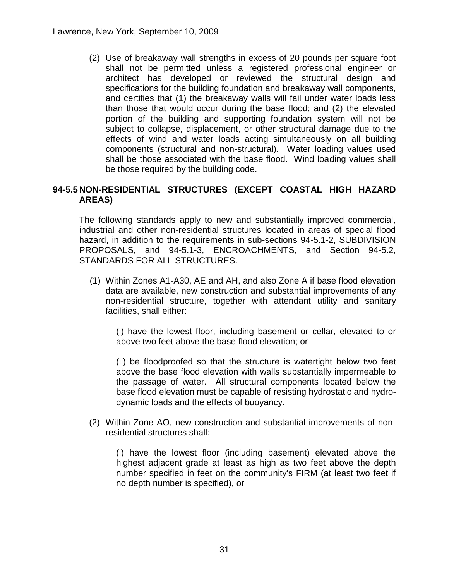(2) Use of breakaway wall strengths in excess of 20 pounds per square foot shall not be permitted unless a registered professional engineer or architect has developed or reviewed the structural design and specifications for the building foundation and breakaway wall components, and certifies that (1) the breakaway walls will fail under water loads less than those that would occur during the base flood; and (2) the elevated portion of the building and supporting foundation system will not be subject to collapse, displacement, or other structural damage due to the effects of wind and water loads acting simultaneously on all building components (structural and non-structural). Water loading values used shall be those associated with the base flood. Wind loading values shall be those required by the building code.

# **94-5.5 NON-RESIDENTIAL STRUCTURES (EXCEPT COASTAL HIGH HAZARD AREAS)**

The following standards apply to new and substantially improved commercial, industrial and other non-residential structures located in areas of special flood hazard, in addition to the requirements in sub-sections 94-5.1-2, SUBDIVISION PROPOSALS, and 94-5.1-3, ENCROACHMENTS, and Section 94-5.2, STANDARDS FOR ALL STRUCTURES.

(1) Within Zones A1-A30, AE and AH, and also Zone A if base flood elevation data are available, new construction and substantial improvements of any non-residential structure, together with attendant utility and sanitary facilities, shall either:

(i) have the lowest floor, including basement or cellar, elevated to or above two feet above the base flood elevation; or

(ii) be floodproofed so that the structure is watertight below two feet above the base flood elevation with walls substantially impermeable to the passage of water. All structural components located below the base flood elevation must be capable of resisting hydrostatic and hydrodynamic loads and the effects of buoyancy.

(2) Within Zone AO, new construction and substantial improvements of nonresidential structures shall:

(i) have the lowest floor (including basement) elevated above the highest adjacent grade at least as high as two feet above the depth number specified in feet on the community's FIRM (at least two feet if no depth number is specified), or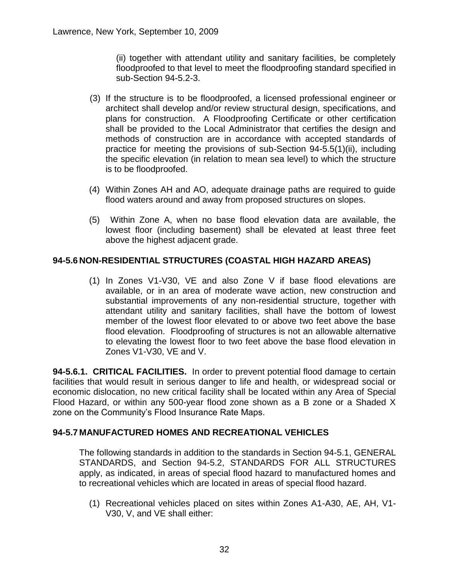(ii) together with attendant utility and sanitary facilities, be completely floodproofed to that level to meet the floodproofing standard specified in sub-Section 94-5.2-3.

- (3) If the structure is to be floodproofed, a licensed professional engineer or architect shall develop and/or review structural design, specifications, and plans for construction. A Floodproofing Certificate or other certification shall be provided to the Local Administrator that certifies the design and methods of construction are in accordance with accepted standards of practice for meeting the provisions of sub-Section 94-5.5(1)(ii), including the specific elevation (in relation to mean sea level) to which the structure is to be floodproofed.
- (4) Within Zones AH and AO, adequate drainage paths are required to guide flood waters around and away from proposed structures on slopes.
- (5) Within Zone A, when no base flood elevation data are available, the lowest floor (including basement) shall be elevated at least three feet above the highest adjacent grade.

# **94-5.6 NON-RESIDENTIAL STRUCTURES (COASTAL HIGH HAZARD AREAS)**

(1) In Zones V1-V30, VE and also Zone V if base flood elevations are available, or in an area of moderate wave action, new construction and substantial improvements of any non-residential structure, together with attendant utility and sanitary facilities, shall have the bottom of lowest member of the lowest floor elevated to or above two feet above the base flood elevation. Floodproofing of structures is not an allowable alternative to elevating the lowest floor to two feet above the base flood elevation in Zones V1-V30, VE and V.

**94-5.6.1. CRITICAL FACILITIES.** In order to prevent potential flood damage to certain facilities that would result in serious danger to life and health, or widespread social or economic dislocation, no new critical facility shall be located within any Area of Special Flood Hazard, or within any 500-year flood zone shown as a B zone or a Shaded X zone on the Community's Flood Insurance Rate Maps.

# **94-5.7 MANUFACTURED HOMES AND RECREATIONAL VEHICLES**

The following standards in addition to the standards in Section 94-5.1, GENERAL STANDARDS, and Section 94-5.2, STANDARDS FOR ALL STRUCTURES apply, as indicated, in areas of special flood hazard to manufactured homes and to recreational vehicles which are located in areas of special flood hazard.

(1) Recreational vehicles placed on sites within Zones A1-A30, AE, AH, V1- V30, V, and VE shall either: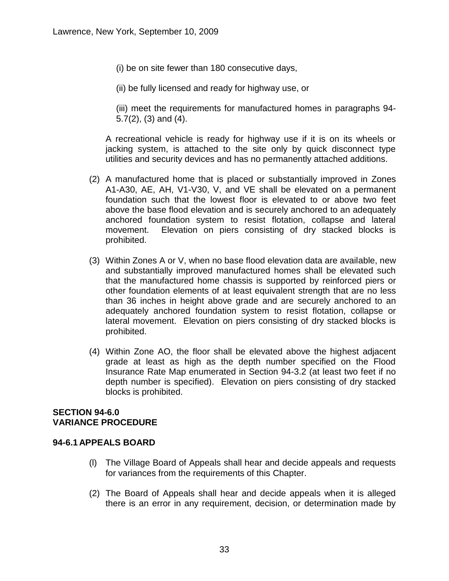(i) be on site fewer than 180 consecutive days,

(ii) be fully licensed and ready for highway use, or

(iii) meet the requirements for manufactured homes in paragraphs 94- 5.7(2), (3) and (4).

A recreational vehicle is ready for highway use if it is on its wheels or jacking system, is attached to the site only by quick disconnect type utilities and security devices and has no permanently attached additions.

- (2) A manufactured home that is placed or substantially improved in Zones A1-A30, AE, AH, V1-V30, V, and VE shall be elevated on a permanent foundation such that the lowest floor is elevated to or above two feet above the base flood elevation and is securely anchored to an adequately anchored foundation system to resist flotation, collapse and lateral movement. Elevation on piers consisting of dry stacked blocks is prohibited.
- (3) Within Zones A or V, when no base flood elevation data are available, new and substantially improved manufactured homes shall be elevated such that the manufactured home chassis is supported by reinforced piers or other foundation elements of at least equivalent strength that are no less than 36 inches in height above grade and are securely anchored to an adequately anchored foundation system to resist flotation, collapse or lateral movement. Elevation on piers consisting of dry stacked blocks is prohibited.
- (4) Within Zone AO, the floor shall be elevated above the highest adjacent grade at least as high as the depth number specified on the Flood Insurance Rate Map enumerated in Section 94-3.2 (at least two feet if no depth number is specified). Elevation on piers consisting of dry stacked blocks is prohibited.

#### **SECTION 94-6.0 VARIANCE PROCEDURE**

#### **94-6.1 APPEALS BOARD**

- (l) The Village Board of Appeals shall hear and decide appeals and requests for variances from the requirements of this Chapter.
- (2) The Board of Appeals shall hear and decide appeals when it is alleged there is an error in any requirement, decision, or determination made by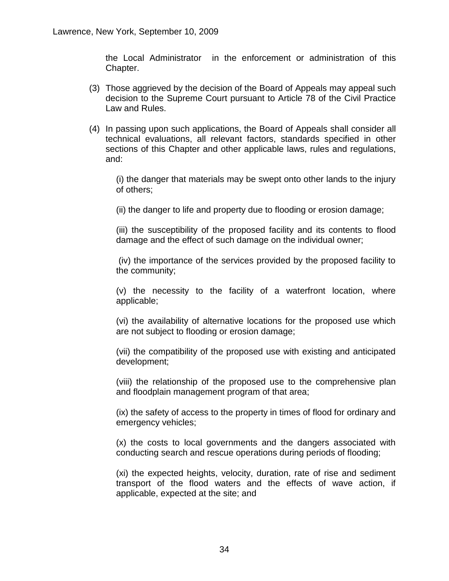the Local Administrator in the enforcement or administration of this Chapter.

- (3) Those aggrieved by the decision of the Board of Appeals may appeal such decision to the Supreme Court pursuant to Article 78 of the Civil Practice Law and Rules.
- (4) In passing upon such applications, the Board of Appeals shall consider all technical evaluations, all relevant factors, standards specified in other sections of this Chapter and other applicable laws, rules and regulations, and:

(i) the danger that materials may be swept onto other lands to the injury of others;

(ii) the danger to life and property due to flooding or erosion damage;

(iii) the susceptibility of the proposed facility and its contents to flood damage and the effect of such damage on the individual owner;

(iv) the importance of the services provided by the proposed facility to the community;

(v) the necessity to the facility of a waterfront location, where applicable;

(vi) the availability of alternative locations for the proposed use which are not subject to flooding or erosion damage;

(vii) the compatibility of the proposed use with existing and anticipated development;

(viii) the relationship of the proposed use to the comprehensive plan and floodplain management program of that area;

(ix) the safety of access to the property in times of flood for ordinary and emergency vehicles;

(x) the costs to local governments and the dangers associated with conducting search and rescue operations during periods of flooding;

(xi) the expected heights, velocity, duration, rate of rise and sediment transport of the flood waters and the effects of wave action, if applicable, expected at the site; and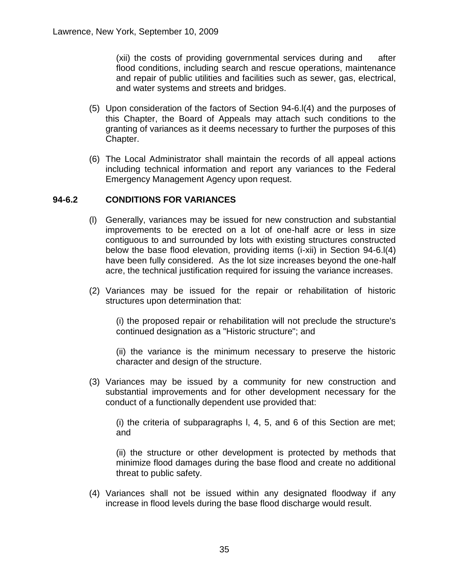(xii) the costs of providing governmental services during and after flood conditions, including search and rescue operations, maintenance and repair of public utilities and facilities such as sewer, gas, electrical, and water systems and streets and bridges.

- (5) Upon consideration of the factors of Section 94-6.l(4) and the purposes of this Chapter, the Board of Appeals may attach such conditions to the granting of variances as it deems necessary to further the purposes of this Chapter.
- (6) The Local Administrator shall maintain the records of all appeal actions including technical information and report any variances to the Federal Emergency Management Agency upon request.

#### **94-6.2 CONDITIONS FOR VARIANCES**

- (l) Generally, variances may be issued for new construction and substantial improvements to be erected on a lot of one-half acre or less in size contiguous to and surrounded by lots with existing structures constructed below the base flood elevation, providing items (i-xii) in Section 94-6.l(4) have been fully considered. As the lot size increases beyond the one-half acre, the technical justification required for issuing the variance increases.
- (2) Variances may be issued for the repair or rehabilitation of historic structures upon determination that:

(i) the proposed repair or rehabilitation will not preclude the structure's continued designation as a "Historic structure"; and

(ii) the variance is the minimum necessary to preserve the historic character and design of the structure.

(3) Variances may be issued by a community for new construction and substantial improvements and for other development necessary for the conduct of a functionally dependent use provided that:

(i) the criteria of subparagraphs l, 4, 5, and 6 of this Section are met; and

(ii) the structure or other development is protected by methods that minimize flood damages during the base flood and create no additional threat to public safety.

(4) Variances shall not be issued within any designated floodway if any increase in flood levels during the base flood discharge would result.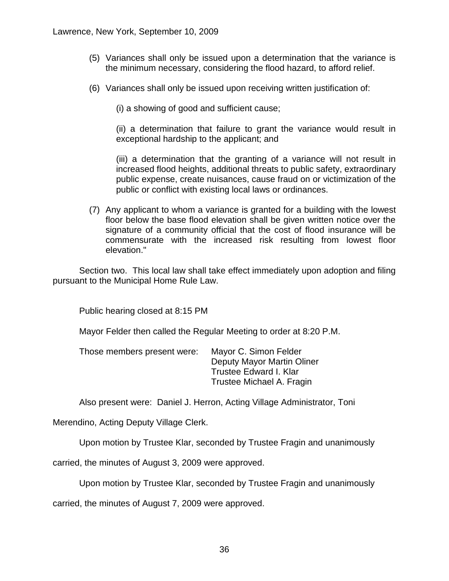- (5) Variances shall only be issued upon a determination that the variance is the minimum necessary, considering the flood hazard, to afford relief.
- (6) Variances shall only be issued upon receiving written justification of:

(i) a showing of good and sufficient cause;

(ii) a determination that failure to grant the variance would result in exceptional hardship to the applicant; and

(iii) a determination that the granting of a variance will not result in increased flood heights, additional threats to public safety, extraordinary public expense, create nuisances, cause fraud on or victimization of the public or conflict with existing local laws or ordinances.

(7) Any applicant to whom a variance is granted for a building with the lowest floor below the base flood elevation shall be given written notice over the signature of a community official that the cost of flood insurance will be commensurate with the increased risk resulting from lowest floor elevation."

Section two. This local law shall take effect immediately upon adoption and filing pursuant to the Municipal Home Rule Law.

Public hearing closed at 8:15 PM

Mayor Felder then called the Regular Meeting to order at 8:20 P.M.

| Those members present were: | Mayor C. Simon Felder      |
|-----------------------------|----------------------------|
|                             | Deputy Mayor Martin Oliner |
|                             | Trustee Edward I. Klar     |
|                             | Trustee Michael A. Fragin  |

Also present were: Daniel J. Herron, Acting Village Administrator, Toni

Merendino, Acting Deputy Village Clerk.

Upon motion by Trustee Klar, seconded by Trustee Fragin and unanimously

carried, the minutes of August 3, 2009 were approved.

Upon motion by Trustee Klar, seconded by Trustee Fragin and unanimously

carried, the minutes of August 7, 2009 were approved.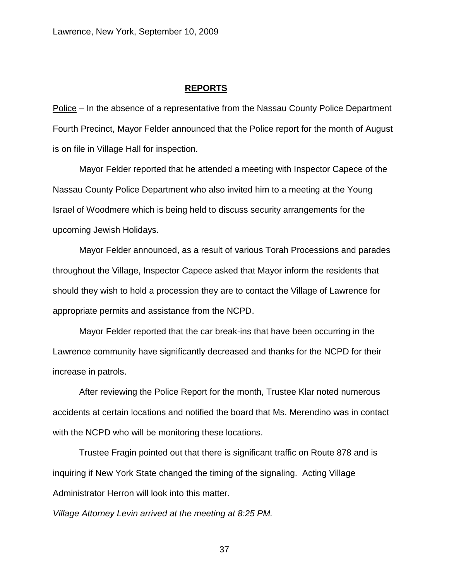#### **REPORTS**

Police – In the absence of a representative from the Nassau County Police Department Fourth Precinct, Mayor Felder announced that the Police report for the month of August is on file in Village Hall for inspection.

Mayor Felder reported that he attended a meeting with Inspector Capece of the Nassau County Police Department who also invited him to a meeting at the Young Israel of Woodmere which is being held to discuss security arrangements for the upcoming Jewish Holidays.

Mayor Felder announced, as a result of various Torah Processions and parades throughout the Village, Inspector Capece asked that Mayor inform the residents that should they wish to hold a procession they are to contact the Village of Lawrence for appropriate permits and assistance from the NCPD.

Mayor Felder reported that the car break-ins that have been occurring in the Lawrence community have significantly decreased and thanks for the NCPD for their increase in patrols.

After reviewing the Police Report for the month, Trustee Klar noted numerous accidents at certain locations and notified the board that Ms. Merendino was in contact with the NCPD who will be monitoring these locations.

Trustee Fragin pointed out that there is significant traffic on Route 878 and is inquiring if New York State changed the timing of the signaling. Acting Village Administrator Herron will look into this matter.

*Village Attorney Levin arrived at the meeting at 8:25 PM.*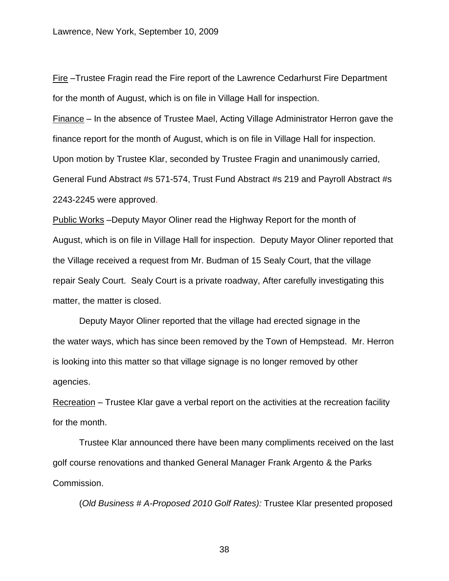Fire –Trustee Fragin read the Fire report of the Lawrence Cedarhurst Fire Department for the month of August, which is on file in Village Hall for inspection.

Finance – In the absence of Trustee Mael, Acting Village Administrator Herron gave the finance report for the month of August, which is on file in Village Hall for inspection. Upon motion by Trustee Klar, seconded by Trustee Fragin and unanimously carried, General Fund Abstract #s 571-574, Trust Fund Abstract #s 219 and Payroll Abstract #s 2243-2245 were approved.

Public Works –Deputy Mayor Oliner read the Highway Report for the month of August, which is on file in Village Hall for inspection. Deputy Mayor Oliner reported that the Village received a request from Mr. Budman of 15 Sealy Court, that the village repair Sealy Court. Sealy Court is a private roadway, After carefully investigating this matter, the matter is closed.

Deputy Mayor Oliner reported that the village had erected signage in the the water ways, which has since been removed by the Town of Hempstead. Mr. Herron is looking into this matter so that village signage is no longer removed by other agencies.

Recreation – Trustee Klar gave a verbal report on the activities at the recreation facility for the month.

Trustee Klar announced there have been many compliments received on the last golf course renovations and thanked General Manager Frank Argento & the Parks Commission.

(*Old Business # A-Proposed 2010 Golf Rates):* Trustee Klar presented proposed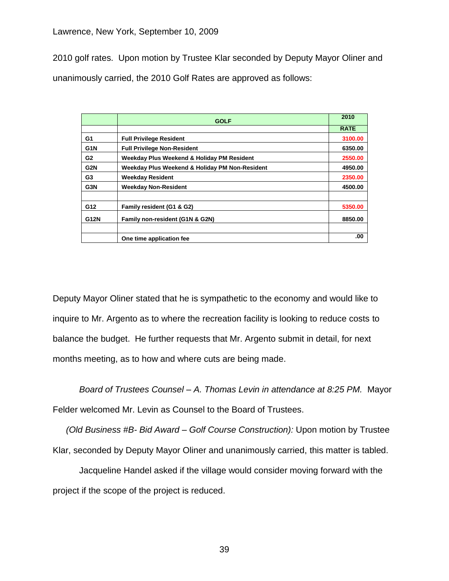2010 golf rates. Upon motion by Trustee Klar seconded by Deputy Mayor Oliner and unanimously carried, the 2010 Golf Rates are approved as follows:

|             | <b>GOLF</b>                                    | 2010        |
|-------------|------------------------------------------------|-------------|
|             |                                                | <b>RATE</b> |
| G1          | <b>Full Privilege Resident</b>                 | 3100.00     |
| G1N         | <b>Full Privilege Non-Resident</b>             | 6350.00     |
| G2          | Weekday Plus Weekend & Holiday PM Resident     | 2550.00     |
| G2N         | Weekday Plus Weekend & Holiday PM Non-Resident | 4950.00     |
| G3          | <b>Weekday Resident</b>                        | 2350.00     |
| G3N         | <b>Weekday Non-Resident</b>                    | 4500.00     |
| G12         | Family resident (G1 & G2)                      | 5350.00     |
| <b>G12N</b> | Family non-resident (G1N & G2N)                | 8850.00     |
|             |                                                |             |
|             | One time application fee                       | .00         |

Deputy Mayor Oliner stated that he is sympathetic to the economy and would like to inquire to Mr. Argento as to where the recreation facility is looking to reduce costs to balance the budget. He further requests that Mr. Argento submit in detail, for next months meeting, as to how and where cuts are being made.

*Board of Trustees Counsel – A. Thomas Levin in attendance at 8:25 PM.* Mayor Felder welcomed Mr. Levin as Counsel to the Board of Trustees.

*(Old Business #B- Bid Award – Golf Course Construction):* Upon motion by Trustee Klar, seconded by Deputy Mayor Oliner and unanimously carried, this matter is tabled.

Jacqueline Handel asked if the village would consider moving forward with the project if the scope of the project is reduced.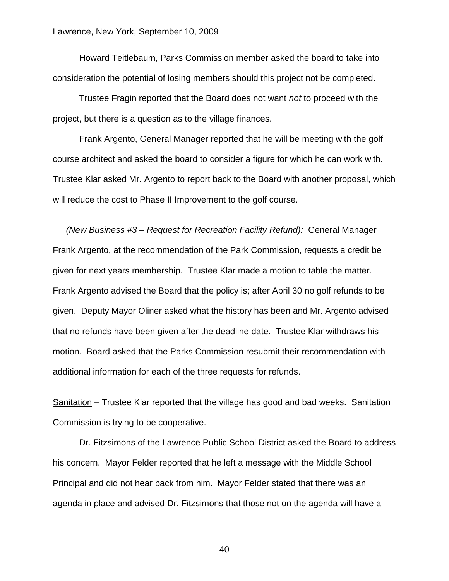Howard Teitlebaum, Parks Commission member asked the board to take into consideration the potential of losing members should this project not be completed.

Trustee Fragin reported that the Board does not want *not* to proceed with the project, but there is a question as to the village finances.

Frank Argento, General Manager reported that he will be meeting with the golf course architect and asked the board to consider a figure for which he can work with. Trustee Klar asked Mr. Argento to report back to the Board with another proposal, which will reduce the cost to Phase II Improvement to the golf course.

*(New Business #3 – Request for Recreation Facility Refund):* General Manager Frank Argento, at the recommendation of the Park Commission, requests a credit be given for next years membership. Trustee Klar made a motion to table the matter. Frank Argento advised the Board that the policy is; after April 30 no golf refunds to be given. Deputy Mayor Oliner asked what the history has been and Mr. Argento advised that no refunds have been given after the deadline date. Trustee Klar withdraws his motion. Board asked that the Parks Commission resubmit their recommendation with additional information for each of the three requests for refunds.

Sanitation – Trustee Klar reported that the village has good and bad weeks. Sanitation Commission is trying to be cooperative.

Dr. Fitzsimons of the Lawrence Public School District asked the Board to address his concern. Mayor Felder reported that he left a message with the Middle School Principal and did not hear back from him. Mayor Felder stated that there was an agenda in place and advised Dr. Fitzsimons that those not on the agenda will have a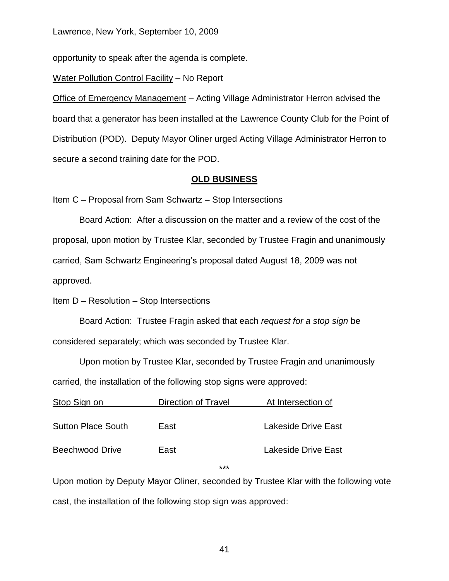opportunity to speak after the agenda is complete.

Water Pollution Control Facility – No Report

Office of Emergency Management – Acting Village Administrator Herron advised the board that a generator has been installed at the Lawrence County Club for the Point of Distribution (POD). Deputy Mayor Oliner urged Acting Village Administrator Herron to secure a second training date for the POD.

#### **OLD BUSINESS**

Item C – Proposal from Sam Schwartz – Stop Intersections

Board Action: After a discussion on the matter and a review of the cost of the proposal, upon motion by Trustee Klar, seconded by Trustee Fragin and unanimously carried, Sam Schwartz Engineering's proposal dated August 18, 2009 was not approved.

Item D – Resolution – Stop Intersections

Board Action: Trustee Fragin asked that each *request for a stop sign* be considered separately; which was seconded by Trustee Klar.

Upon motion by Trustee Klar, seconded by Trustee Fragin and unanimously carried, the installation of the following stop signs were approved:

| Stop Sign on              | <b>Direction of Travel</b> | At Intersection of  |
|---------------------------|----------------------------|---------------------|
| <b>Sutton Place South</b> | East                       | Lakeside Drive East |
| <b>Beechwood Drive</b>    | East                       | Lakeside Drive East |
|                           | $***$                      |                     |

Upon motion by Deputy Mayor Oliner, seconded by Trustee Klar with the following vote cast, the installation of the following stop sign was approved: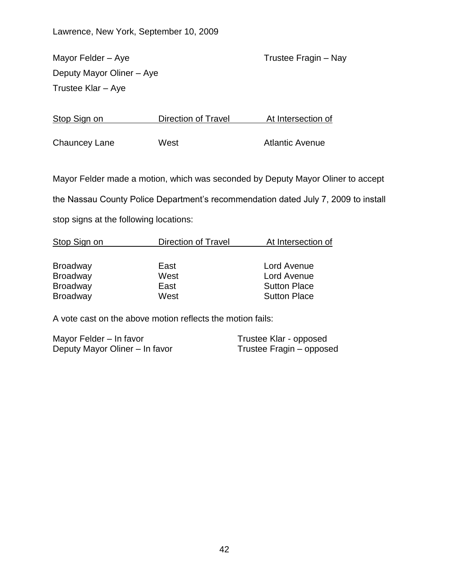Mayor Felder – Aye Trustee Fragin – Nay Deputy Mayor Oliner – Aye Trustee Klar – Aye

Stop Sign on **Direction of Travel** At Intersection of Chauncey Lane West Messengle Atlantic Avenue

Mayor Felder made a motion, which was seconded by Deputy Mayor Oliner to accept

the Nassau County Police Department's recommendation dated July 7, 2009 to install

stop signs at the following locations:

| Stop Sign on    | <b>Direction of Travel</b> | At Intersection of  |
|-----------------|----------------------------|---------------------|
|                 |                            |                     |
| <b>Broadway</b> | East                       | Lord Avenue         |
| <b>Broadway</b> | West                       | Lord Avenue         |
| <b>Broadway</b> | East                       | <b>Sutton Place</b> |
| <b>Broadway</b> | West                       | <b>Sutton Place</b> |

A vote cast on the above motion reflects the motion fails:

Mayor Felder – In favor Trustee Klar - opposed Deputy Mayor Oliner – In favor Trustee Fragin – opposed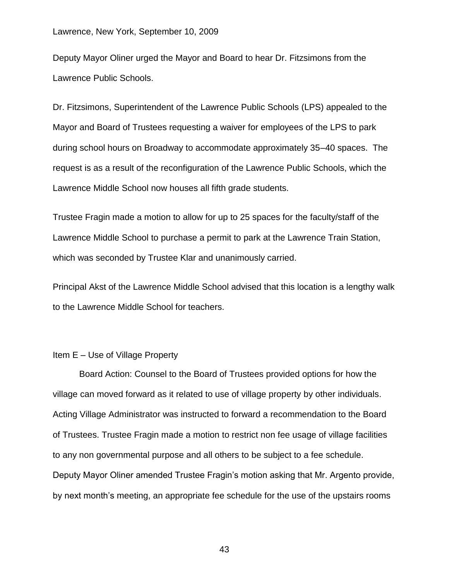Deputy Mayor Oliner urged the Mayor and Board to hear Dr. Fitzsimons from the Lawrence Public Schools.

Dr. Fitzsimons, Superintendent of the Lawrence Public Schools (LPS) appealed to the Mayor and Board of Trustees requesting a waiver for employees of the LPS to park during school hours on Broadway to accommodate approximately 35–40 spaces. The request is as a result of the reconfiguration of the Lawrence Public Schools, which the Lawrence Middle School now houses all fifth grade students.

Trustee Fragin made a motion to allow for up to 25 spaces for the faculty/staff of the Lawrence Middle School to purchase a permit to park at the Lawrence Train Station, which was seconded by Trustee Klar and unanimously carried.

Principal Akst of the Lawrence Middle School advised that this location is a lengthy walk to the Lawrence Middle School for teachers.

#### Item E – Use of Village Property

Board Action: Counsel to the Board of Trustees provided options for how the village can moved forward as it related to use of village property by other individuals. Acting Village Administrator was instructed to forward a recommendation to the Board of Trustees. Trustee Fragin made a motion to restrict non fee usage of village facilities to any non governmental purpose and all others to be subject to a fee schedule. Deputy Mayor Oliner amended Trustee Fragin's motion asking that Mr. Argento provide, by next month's meeting, an appropriate fee schedule for the use of the upstairs rooms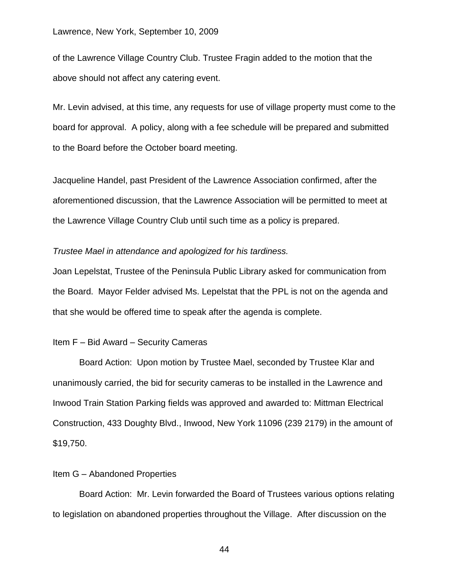of the Lawrence Village Country Club. Trustee Fragin added to the motion that the above should not affect any catering event.

Mr. Levin advised, at this time, any requests for use of village property must come to the board for approval. A policy, along with a fee schedule will be prepared and submitted to the Board before the October board meeting.

Jacqueline Handel, past President of the Lawrence Association confirmed, after the aforementioned discussion, that the Lawrence Association will be permitted to meet at the Lawrence Village Country Club until such time as a policy is prepared.

#### *Trustee Mael in attendance and apologized for his tardiness.*

Joan Lepelstat, Trustee of the Peninsula Public Library asked for communication from the Board. Mayor Felder advised Ms. Lepelstat that the PPL is not on the agenda and that she would be offered time to speak after the agenda is complete.

#### Item F – Bid Award – Security Cameras

Board Action: Upon motion by Trustee Mael, seconded by Trustee Klar and unanimously carried, the bid for security cameras to be installed in the Lawrence and Inwood Train Station Parking fields was approved and awarded to: Mittman Electrical Construction, 433 Doughty Blvd., Inwood, New York 11096 (239 2179) in the amount of \$19,750.

#### Item G – Abandoned Properties

Board Action: Mr. Levin forwarded the Board of Trustees various options relating to legislation on abandoned properties throughout the Village. After discussion on the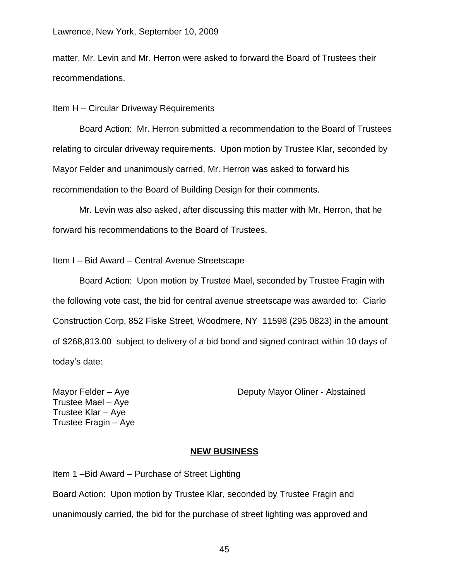matter, Mr. Levin and Mr. Herron were asked to forward the Board of Trustees their recommendations.

Item H – Circular Driveway Requirements

Board Action: Mr. Herron submitted a recommendation to the Board of Trustees relating to circular driveway requirements. Upon motion by Trustee Klar, seconded by Mayor Felder and unanimously carried, Mr. Herron was asked to forward his recommendation to the Board of Building Design for their comments.

Mr. Levin was also asked, after discussing this matter with Mr. Herron, that he forward his recommendations to the Board of Trustees.

#### Item I – Bid Award – Central Avenue Streetscape

Board Action: Upon motion by Trustee Mael, seconded by Trustee Fragin with the following vote cast, the bid for central avenue streetscape was awarded to: Ciarlo Construction Corp, 852 Fiske Street, Woodmere, NY 11598 (295 0823) in the amount of \$268,813.00 subject to delivery of a bid bond and signed contract within 10 days of today's date:

Trustee Mael – Aye Trustee Klar – Aye Trustee Fragin – Aye

#### Mayor Felder – Aye **Deputy Mayor Oliner - Abstained**

#### **NEW BUSINESS**

Item 1 –Bid Award – Purchase of Street Lighting Board Action: Upon motion by Trustee Klar, seconded by Trustee Fragin and unanimously carried, the bid for the purchase of street lighting was approved and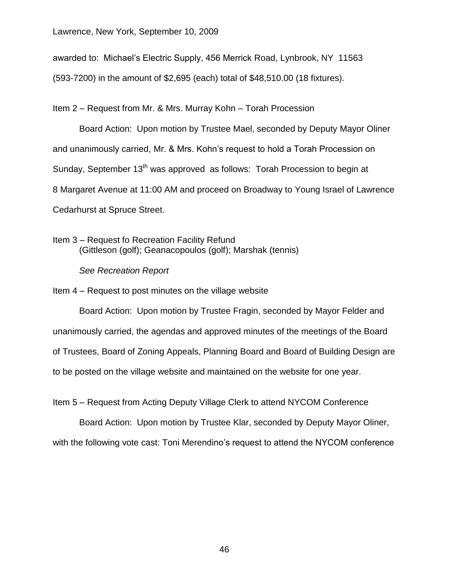awarded to: Michael's Electric Supply, 456 Merrick Road, Lynbrook, NY 11563

(593-7200) in the amount of \$2,695 (each) total of \$48,510.00 (18 fixtures).

Item 2 – Request from Mr. & Mrs. Murray Kohn – Torah Procession

Board Action: Upon motion by Trustee Mael, seconded by Deputy Mayor Oliner and unanimously carried, Mr. & Mrs. Kohn's request to hold a Torah Procession on Sunday, September 13<sup>th</sup> was approved as follows: Torah Procession to begin at 8 Margaret Avenue at 11:00 AM and proceed on Broadway to Young Israel of Lawrence Cedarhurst at Spruce Street.

Item 3 – Request fo Recreation Facility Refund (Gittleson (golf); Geanacopoulos (golf); Marshak (tennis)

*See Recreation Report*

Item 4 – Request to post minutes on the village website

Board Action: Upon motion by Trustee Fragin, seconded by Mayor Felder and unanimously carried, the agendas and approved minutes of the meetings of the Board of Trustees, Board of Zoning Appeals, Planning Board and Board of Building Design are to be posted on the village website and maintained on the website for one year.

Item 5 – Request from Acting Deputy Village Clerk to attend NYCOM Conference

Board Action: Upon motion by Trustee Klar, seconded by Deputy Mayor Oliner, with the following vote cast: Toni Merendino's request to attend the NYCOM conference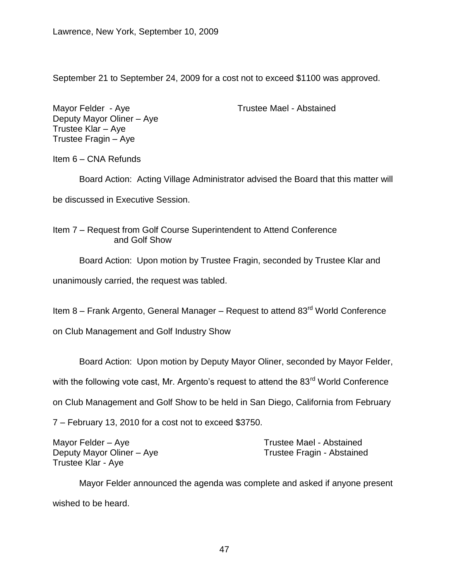September 21 to September 24, 2009 for a cost not to exceed \$1100 was approved.

Mayor Felder - Aye Trustee Mael - Abstained Deputy Mayor Oliner – Aye Trustee Klar – Aye Trustee Fragin – Aye

Item 6 – CNA Refunds

Board Action: Acting Village Administrator advised the Board that this matter will be discussed in Executive Session.

Item 7 – Request from Golf Course Superintendent to Attend Conference and Golf Show

Board Action: Upon motion by Trustee Fragin, seconded by Trustee Klar and

unanimously carried, the request was tabled.

Item 8 – Frank Argento, General Manager – Request to attend 83<sup>rd</sup> World Conference

on Club Management and Golf Industry Show

Board Action: Upon motion by Deputy Mayor Oliner, seconded by Mayor Felder,

with the following vote cast, Mr. Argento's request to attend the 83<sup>rd</sup> World Conference

on Club Management and Golf Show to be held in San Diego, California from February

7 – February 13, 2010 for a cost not to exceed \$3750.

Mayor Felder – Aye Trustee Mael - Abstained Trustee Klar - Aye

Deputy Mayor Oliner – Aye Trustee Fragin - Abstained

Mayor Felder announced the agenda was complete and asked if anyone present wished to be heard.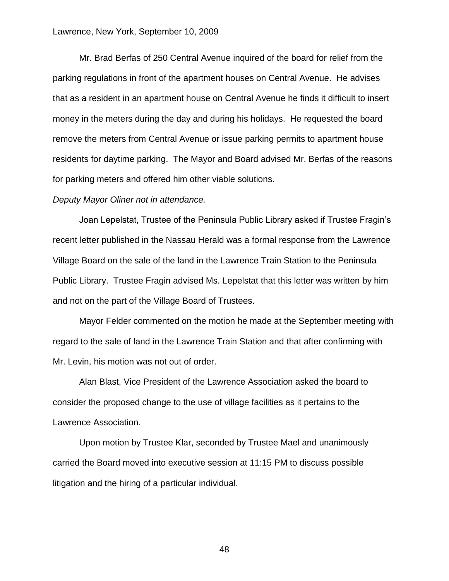Mr. Brad Berfas of 250 Central Avenue inquired of the board for relief from the parking regulations in front of the apartment houses on Central Avenue. He advises that as a resident in an apartment house on Central Avenue he finds it difficult to insert money in the meters during the day and during his holidays. He requested the board remove the meters from Central Avenue or issue parking permits to apartment house residents for daytime parking. The Mayor and Board advised Mr. Berfas of the reasons for parking meters and offered him other viable solutions.

#### *Deputy Mayor Oliner not in attendance.*

Joan Lepelstat, Trustee of the Peninsula Public Library asked if Trustee Fragin's recent letter published in the Nassau Herald was a formal response from the Lawrence Village Board on the sale of the land in the Lawrence Train Station to the Peninsula Public Library. Trustee Fragin advised Ms. Lepelstat that this letter was written by him and not on the part of the Village Board of Trustees.

Mayor Felder commented on the motion he made at the September meeting with regard to the sale of land in the Lawrence Train Station and that after confirming with Mr. Levin, his motion was not out of order.

Alan Blast, Vice President of the Lawrence Association asked the board to consider the proposed change to the use of village facilities as it pertains to the Lawrence Association.

Upon motion by Trustee Klar, seconded by Trustee Mael and unanimously carried the Board moved into executive session at 11:15 PM to discuss possible litigation and the hiring of a particular individual.